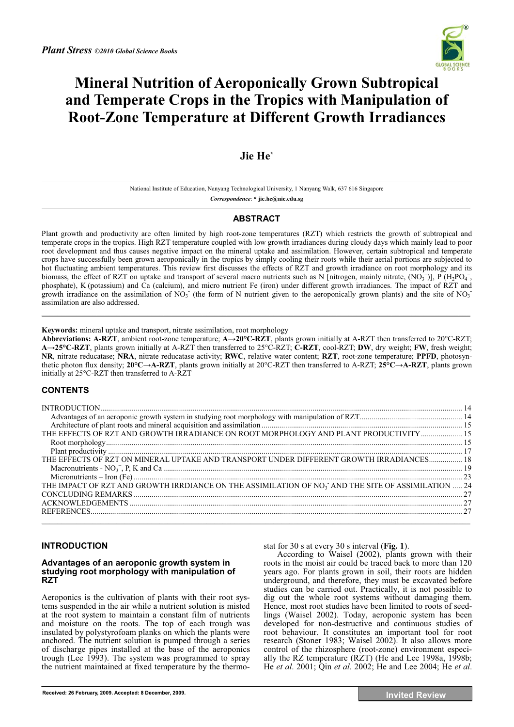

# **Mineral Nutrition of Aeroponically Grown Subtropical and Temperate Crops in the Tropics with Manipulation of Root-Zone Temperature at Different Growth Irradiances**

## **Jie He\***

National Institute of Education, Nanyang Technological University, 1 Nanyang Walk, 637 616 Singapore *Correspondence*: **\* jie.he@nie.edu.sg** 

## **ABSTRACT**

Plant growth and productivity are often limited by high root-zone temperatures (RZT) which restricts the growth of subtropical and temperate crops in the tropics. High RZT temperature coupled with low growth irradiances during cloudy days which mainly lead to poor root development and thus causes negative impact on the mineral uptake and assimilation. However, certain subtropical and temperate crops have successfully been grown aeroponically in the tropics by simply cooling their roots while their aerial portions are subjected to hot fluctuating ambient temperatures. This review first discusses the effects of RZT and growth irradiance on root morphology and its biomass, the effect of RZT on uptake and transport of several macro nutrients such as N [nitrogen, mainly nitrate,  $(NO_3^-)$ ], P  $(H_2PO_4^-$ , phosphate), K (potassium) and Ca (calcium), and micro nutrient Fe (iron) under different growth irradiances. The impact of RZT and growth irradiance on the assimilation of  $NO<sub>3</sub>$  (the form of N nutrient given to the aeroponically grown plants) and the site of  $NO<sub>3</sub>$ assimilation are also addressed.

**Keywords:** mineral uptake and transport, nitrate assimilation, root morphology

**Abbreviations: A-RZT**, ambient root-zone temperature; **A-20°C-RZT**, plants grown initially at A-RZT then transferred to 20°C-RZT; **A-25°C-RZT**, plants grown initially at A-RZT then transferred to 25°C-RZT; **C-RZT**, cool-RZT; **DW**, dry weight; **FW**, fresh weight; **NR**, nitrate reducatase; **NRA**, nitrate reducatase activity; **RWC**, relative water content; **RZT**, root-zone temperature; **PPFD**, photosynthetic photon flux density; **20°C-A-RZT**, plants grown initially at 20°C-RZT then transferred to A-RZT; **25°C-A-RZT**, plants grown initially at 25°C-RZT then transferred to A-RZT

## **CONTENTS**

| THE EFFECTS OF RZT AND GROWTH IRRADIANCE ON ROOT MORPHOLOGY AND PLANT PRODUCTIVITY  15                         |  |
|----------------------------------------------------------------------------------------------------------------|--|
|                                                                                                                |  |
|                                                                                                                |  |
| THE EFFECTS OF RZT ON MINERAL UPTAKE AND TRANSPORT UNDER DIFFERENT GROWTH IRRADIANCES 18                       |  |
|                                                                                                                |  |
|                                                                                                                |  |
| THE IMPACT OF RZT AND GROWTH IRRDIANCE ON THE ASSIMILATION OF NO <sub>3</sub> AND THE SITE OF ASSIMILATION  24 |  |
|                                                                                                                |  |
|                                                                                                                |  |
|                                                                                                                |  |
|                                                                                                                |  |

## **INTRODUCTION**

#### **Advantages of an aeroponic growth system in studying root morphology with manipulation of RZT**

Aeroponics is the cultivation of plants with their root systems suspended in the air while a nutrient solution is misted at the root system to maintain a constant film of nutrients and moisture on the roots. The top of each trough was insulated by polystyrofoam planks on which the plants were anchored. The nutrient solution is pumped through a series of discharge pipes installed at the base of the aeroponics trough (Lee 1993). The system was programmed to spray the nutrient maintained at fixed temperature by the thermostat for 30 s at every 30 s interval (**Fig. 1**).

According to Waisel (2002), plants grown with their roots in the moist air could be traced back to more than 120 years ago. For plants grown in soil, their roots are hidden underground, and therefore, they must be excavated before studies can be carried out. Practically, it is not possible to dig out the whole root systems without damaging them. Hence, most root studies have been limited to roots of seedlings (Waisel 2002). Today, aeroponic system has been developed for non-destructive and continuous studies of root behaviour. It constitutes an important tool for root research (Stoner 1983; Waisel 2002). It also allows more control of the rhizosphere (root-zone) environment especially the RZ temperature (RZT) (He and Lee 1998a, 1998b; He *et al*. 2001; Qin *et al.* 2002; He and Lee 2004; He *et al*.

**Received: 26 February, 2009. Accepted: 8 December, 2009. Invited Review**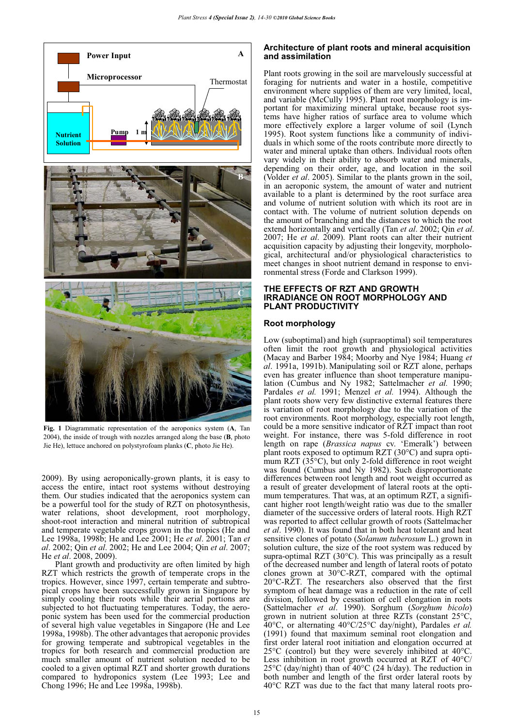

**Fig. 1** Diagrammatic representation of the aeroponics system (**A**, Tan 2004), the inside of trough with nozzles arranged along the base (**B**, photo Jie He), lettuce anchored on polystyrofoam planks (**C**, photo Jie He).

2009). By using aeroponically-grown plants, it is easy to access the entire, intact root systems without destroying them. Our studies indicated that the aeroponics system can be a powerful tool for the study of RZT on photosynthesis, water relations, shoot development, root morphology, shoot-root interaction and mineral nutrition of subtropical and temperate vegetable crops grown in the tropics (He and Lee 1998a, 1998b; He and Lee 2001; He *et al*. 2001; Tan *et al*. 2002; Qin *et al*. 2002; He and Lee 2004; Qin *et al*. 2007; He *et al*. 2008, 2009).

Plant growth and productivity are often limited by high RZT which restricts the growth of temperate crops in the tropics. However, since 1997, certain temperate and subtropical crops have been successfully grown in Singapore by simply cooling their roots while their aerial portions are subjected to hot fluctuating temperatures. Today, the aeroponic system has been used for the commercial production of several high value vegetables in Singapore (He and Lee 1998a, 1998b). The other advantages that aeroponic provides for growing temperate and subtropical vegetables in the tropics for both research and commercial production are much smaller amount of nutrient solution needed to be cooled to a given optimal RZT and shorter growth durations compared to hydroponics system (Lee 1993; Lee and Chong 1996; He and Lee 1998a, 1998b).

#### **Architecture of plant roots and mineral acquisition and assimilation**

Plant roots growing in the soil are marvelously successful at foraging for nutrients and water in a hostile, competitive environment where supplies of them are very limited, local, and variable (McCully 1995). Plant root morphology is important for maximizing mineral uptake, because root systems have higher ratios of surface area to volume which more effectively explore a larger volume of soil (Lynch 1995). Root system functions like a community of individuals in which some of the roots contribute more directly to water and mineral uptake than others. Individual roots often vary widely in their ability to absorb water and minerals, depending on their order, age, and location in the soil (Volder *et al*. 2005). Similar to the plants grown in the soil, in an aeroponic system, the amount of water and nutrient available to a plant is determined by the root surface area and volume of nutrient solution with which its root are in contact with. The volume of nutrient solution depends on the amount of branching and the distances to which the root extend horizontally and vertically (Tan *et al*. 2002; Qin *et al*. 2007; He *et al*. 2009). Plant roots can alter their nutrient acquisition capacity by adjusting their longevity, morphological, architectural and/or physiological characteristics to meet changes in shoot nutrient demand in response to environmental stress (Forde and Clarkson 1999).

#### **THE EFFECTS OF RZT AND GROWTH IRRADIANCE ON ROOT MORPHOLOGY AND PLANT PRODUCTIVITY**

#### **Root morphology**

Low (suboptimal) and high (supraoptimal) soil temperatures often limit the root growth and physiological activities (Macay and Barber 1984; Moorby and Nye 1984; Huang *et al*. 1991a, 1991b). Manipulating soil or RZT alone, perhaps even has greater influence than shoot temperature manipulation (Cumbus and Ny 1982; Sattelmacher *et al.* 1990; Pardales *et al.* 1991; Menzel *et al.* 1994). Although the plant roots show very few distinctive external features there is variation of root morphology due to the variation of the root environments. Root morphology, especially root length, could be a more sensitive indicator of RZT impact than root weight. For instance, there was 5-fold difference in root length on rape (*Brassica napus* cv. 'Emeralk') between plant roots exposed to optimum RZT (30°C) and supra optimum RZT (35°C), but only 2-fold difference in root weight was found (Cumbus and Ny 1982). Such disproportionate differences between root length and root weight occurred as a result of greater development of lateral roots at the optimum temperatures. That was, at an optimum RZT, a significant higher root length/weight ratio was due to the smaller diameter of the successive orders of lateral roots. High RZT was reported to affect cellular growth of roots (Sattelmacher *et al*. 1990). It was found that in both heat tolerant and heat sensitive clones of potato (*Solanum tuberosum* L.) grown in solution culture, the size of the root system was reduced by supra-optimal RZT (30°C). This was principally as a result of the decreased number and length of lateral roots of potato clones grown at 30°C-RZT, compared with the optimal 20°C-RZT. The researchers also observed that the first symptom of heat damage was a reduction in the rate of cell division, followed by cessation of cell elongation in roots (Sattelmacher *et al*. 1990). Sorghum (*Sorghum bicolo*) grown in nutrient solution at three RZTs (constant 25°C, 40°C, or alternating 40°C/25°C day/night), Pardales *et al.* (1991) found that maximum seminal root elongation and first order lateral root initiation and elongation occurred at 25°C (control) but they were severely inhibited at 40°C. Less inhibition in root growth occurred at RZT of 40°C/  $25^{\circ}$ C (day/night) than of 40 $^{\circ}$ C (24 h/day). The reduction in both number and length of the first order lateral roots by 40°C RZT was due to the fact that many lateral roots pro-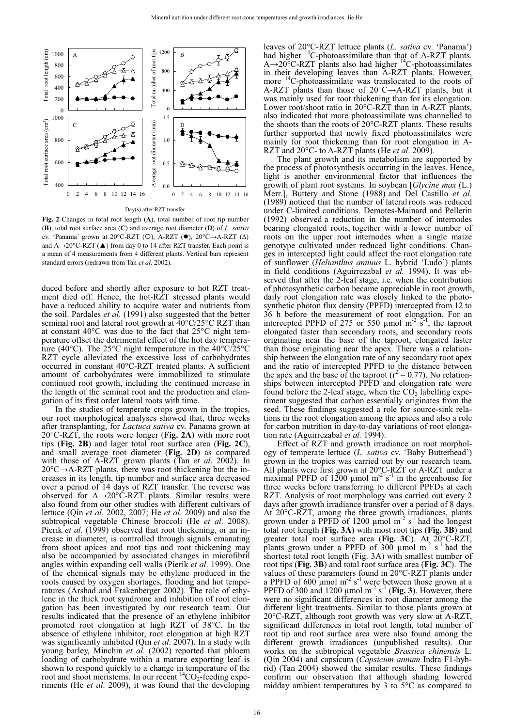

Day(s) after RZT transfer

**Fig. 2** Changes in total root length (**A**), total number of root tip number (**B**), total root surface area (**C**) and average root diameter (**D**) of *L. sativa* cv. 'Panama' grown at 20°C-RZT (O), A-RZT (●), 20°C→A-RZT (△) and A→20°C-RZT (▲) from day 0 to 14 after RZT transfer. Each point is a mean of 4 measurements from 4 different plants. Vertical bars represent standard errors (redrawn from Tan *et al*. 2002).

duced before and shortly after exposure to hot RZT treatment died off. Hence, the hot-RZT stressed plants would have a reduced ability to acquire water and nutrients from the soil. Pardales *et al.* (1991) also suggested that the better seminal root and lateral root growth at  $40^{\circ}$ C/25°C RZT than at constant 40°C was due to the fact that 25°C night temperature offset the detrimental effect of the hot day temperature (40 $^{\circ}$ C). The 25 $^{\circ}$ C night temperature in the 40 $^{\circ}$ C/25 $^{\circ}$ C RZT cycle alleviated the excessive loss of carbohydrates occurred in constant 40°C-RZT treated plants. A sufficient amount of carbohydrates were immobilized to stimulate continued root growth, including the continued increase in the length of the seminal root and the production and elongation of its first order lateral roots with time.

In the studies of temperate crops grown in the tropics, our root morphological analyses showed that, three weeks after transplanting, for *Lactuca sativa* cv. Panama grown at 20°C-RZT, the roots were longer (**Fig. 2A**) with more root tips (**Fig. 2B**) and lager total root surface area (**Fig. 2C**), and small average root diameter (**Fig. 2D**) as compared with those of A-RZT grown plants (Tan *et al*. 2002). In  $20^{\circ}$ C $\rightarrow$ A-RZT plants, there was root thickening but the increases in its length, tip number and surface area decreased over a period of 14 days of RZT transfer. The reverse was observed for  $A\rightarrow 20^{\circ}$ C-RZT plants. Similar results were also found from our other studies with different cultivars of lettuce (Qin *et al.* 2002, 2007; He *et al*. 2009) and also the subtropical vegetable Chinese broccoli (He *et al*. 2008). Pierik *et al.* (1999) observed that root thickening, or an increase in diameter, is controlled through signals emanating from shoot apices and root tips and root thickening may also be accompanied by associated changes in microfibril angles within expanding cell walls (Pierik *et al*. 1999). One of the chemical signals may be ethylene produced in the roots caused by oxygen shortages, flooding and hot temperatures (Arshad and Frakenberger 2002). The role of ethylene in the thick root syndrome and inhibition of root elongation has been investigated by our research team. Our results indicated that the presence of an ethylene inhibitor promoted root elongation at high RZT of 38°C. In the absence of ethylene inhibitor, root elongation at high RZT was significantly inhibited (Qin *et al*. 2007). In a study with young barley, Minchin *et al*. (2002) reported that phloem loading of carbohydrate within a mature exporting leaf is shown to respond quickly to a change in temperature of the root and shoot meristems. In our recent  ${}^{14}CO_2$ -feeding experiments (He *et al*. 2009), it was found that the developing

leaves of 20°C-RZT lettuce plants (*L. sativa* cv. 'Panama') had higher <sup>14</sup>C-photoassimilate than that of A-RZT plants.  $A\rightarrow 20^{\circ}$ C-RZT plants also had higher <sup>14</sup>C-photoassimilates in their developing leaves than A-RZT plants. However, more <sup>14</sup>C-photoassimilate was translocated to the roots of A-RZT plants than those of  $20^{\circ}$ C $\rightarrow$ A-RZT plants, but it was mainly used for root thickening than for its elongation. Lower root/shoot ratio in 20°C-RZT than in A-RZT plants, also indicated that more photoassimilate was channelled to the shoots than the roots of 20°C-RZT plants. These results further supported that newly fixed photoassimilates were mainly for root thickening than for root elongation in A-RZT and 20°C- to A-RZT plants (He *et al*. 2009).

The plant growth and its metabolism are supported by the process of photosynthesis occurring in the leaves. Hence, light is another environmental factor that influences the growth of plant root systems. In soybean [*Glycine max* (L.) Merr.], Buttery and Stone (1988) and Del Castillo *et al.* (1989) noticed that the number of lateral roots was reduced under C-limited conditions. Demotes-Mainard and Pellerin (1992) observed a reduction in the number of internodes bearing elongated roots, together with a lower number of roots on the upper root internodes when a single maize genotype cultivated under reduced light conditions. Changes in intercepted light could affect the root elongation rate of sunflower (*Helianthus annuus* L. hybrid 'Ludo') plants in field conditions (Aguirrezabal *et al.* 1994). It was observed that after the 2-leaf stage, i.e. when the contribution of photosynthetic carbon became appreciable in root growth, daily root elongation rate was closely linked to the photosynthetic photon flux density (PPFD) intercepted from 12 to 36 h before the measurement of root elongation. For an intercepted PPFD of 275 or 550  $\mu$ mol m<sup>-2</sup> s<sup>-1</sup>, the taproot elongated faster than secondary roots, and secondary roots originating near the base of the taproot, elongated faster than those originating near the apex. There was a relationship between the elongation rate of any secondary root apex and the ratio of intercepted PPFD to the distance between the apex and the base of the taproot ( $r^2 = 0.77$ ). No relationships between intercepted PPFD and elongation rate were found before the 2-leaf stage, when the  $CO<sub>2</sub>$  labelling experiment suggested that carbon essentially originates from the seed. These findings suggested a role for source-sink relations in the root elongation among the apices and also a role for carbon nutrition in day-to-day variations of root elongation rate (Aguirrezabal *et al.* 1994).

Effect of RZT and growth irradiance on root morphology of temperate lettuce (*L. sativa* cv. 'Baby Butterhead') grown in the tropics was carried out by our research team. All plants were first grown at 20°C-RZT or A-RZT under a maximal PPFD of 1200 µmol m<sup>-2</sup> s<sup>-1</sup> in the greenhouse for three weeks before transferring to different PPFDs at each RZT. Analysis of root morphology was carried out every 2 days after growth irradiance transfer over a period of 8 days. At 20°C-RZT, among the three growth irradiances, plants grown under a PPFD of 1200  $\mu$ mol m<sup>-2</sup> s<sup>-1</sup> had the longest total root length (**Fig. 3A**) with most root tips (**Fig. 3B**) and greater total root surface area (**Fig. 3C**). At 20°C-RZT, plants grown under a PPFD of  $300 \mu$  mol m<sup>-2</sup> s<sup>-1</sup> had the shortest total root length (Fig. 3A) with smallest number of root tips (**Fig. 3B**) and total root surface area (**Fig. 3C**). The values of these parameters found in 20°C-RZT plants under a PPFD of 600  $\mu$ mol m<sup>-2</sup> s<sup>-1</sup> were between those grown at a PPFD of 300 and 1200  $\mu$ mol m<sup>-2</sup> s<sup>-1</sup> (Fig. 3). However, there were no significant differences in root diameter among the different light treatments. Similar to those plants grown at 20°C-RZT, although root growth was very slow at A-RZT, significant differences in total root length, total number of root tip and root surface area were also found among the different growth irradiances (unpublished results). Our works on the subtropical vegetable *Brassica chinensis* L. (Qin 2004) and capsicum (*Capsicum annum* Indra F1-hybrid) (Tan 2004) showed the similar results. These findings confirm our observation that although shading lowered midday ambient temperatures by 3 to 5°C as compared to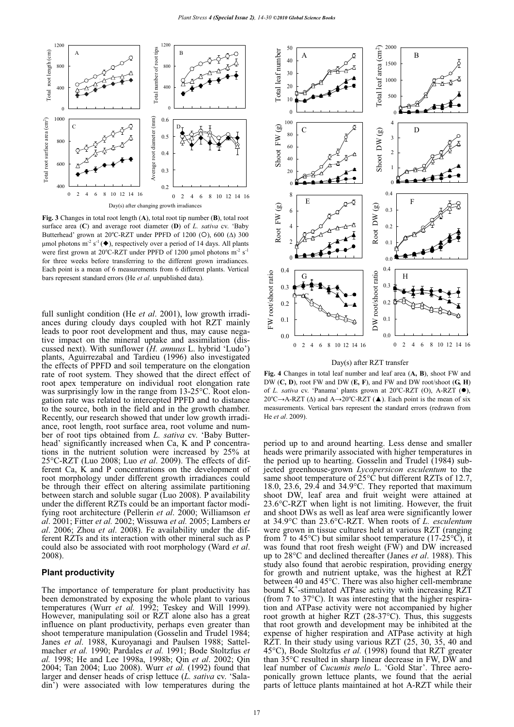

**Fig. 3** Changes in total root length (**A**), total root tip number (**B**), total root surface area (**C**) and average root diameter (**D**) of *L. sativa* cv. 'Baby Butterhead' grown at 20°C-RZT under PPFD of 1200 (O), 600 ( $\Delta$ ) 300  $\mu$ mol photons m<sup>-2</sup> s<sup>-1</sup> ( $\blacklozenge$ ), respectively over a period of 14 days. All plants were first grown at 20°C-RZT under PPFD of 1200 µmol photons  $m^{-2} s^{-1}$ for three weeks before transferring to the different grown irradiances. Each point is a mean of 6 measurements from 6 different plants. Vertical bars represent standard errors (He *et al*. unpublished data).

full sunlight condition (He *et al.* 2001), low growth irradiances during cloudy days coupled with hot RZT mainly leads to poor root development and thus, may cause negative impact on the mineral uptake and assimilation (discussed next). With sunflower (*H. annuus* L. hybrid 'Ludo') plants, Aguirrezabal and Tardieu (1996) also investigated the effects of PPFD and soil temperature on the elongation rate of root system. They showed that the direct effect of root apex temperature on individual root elongation rate was surprisingly low in the range from 13-25°C. Root elongation rate was related to intercepted PPFD and to distance to the source, both in the field and in the growth chamber. Recently, our research showed that under low growth irradiance, root length, root surface area, root volume and number of root tips obtained from *L. sativa* cv. 'Baby Butterhead' significantly increased when Ca, K and P concentrations in the nutrient solution were increased by 25% at 25°C-RZT (Luo 2008; Luo *et al*. 2009). The effects of different Ca, K and P concentrations on the development of root morphology under different growth irradiances could be through their effect on altering assimilate partitioning between starch and soluble sugar (Luo 2008). P availability under the different RZTs could be an important factor modifying root architecture (Pellerin *et al*. 2000; Williamson *et al*. 2001; Fitter *et al.* 2002; Wissuwa *et al.* 2005; Lambers e*t al*. 2006; Zhou *et al*. 2008). Fe availability under the different RZTs and its interaction with other mineral such as P could also be associated with root morphology (Ward *et al*. 2008).

#### **Plant productivity**

The importance of temperature for plant productivity has been demonstrated by exposing the whole plant to various temperatures (Wurr *et al.* 1992; Teskey and Will 1999). However, manipulating soil or RZT alone also has a great influence on plant productivity, perhaps even greater than shoot temperature manipulation (Gosselin and Trudel 1984; Janes *et al*. 1988, Kuroyanagi and Paulsen 1988; Sattelmacher *et al.* 1990; Pardales *et al.* 1991; Bode Stoltzfus *et al.* 1998; He and Lee 1998a, 1998b; Qin *et al*. 2002; Qin 2004; Tan 2004; Luo 2008). Wurr *et al.* (1992) found that larger and denser heads of crisp lettuce (*L. sativa* cv. 'Saladin') were associated with low temperatures during the



#### Day(s) after RZT transfer

**Fig. 4** Changes in total leaf number and leaf area (**A, B**), shoot FW and DW (**C, D**), root FW and DW (**E, F**), and FW and DW root/shoot (**G, H**) of *L. sativa* cv. 'Panama' plants grown at 20°C-RZT (O), A-RZT (.),  $20^{\circ}$ C $\rightarrow$ A-RZT ( $\Delta$ ) and A $\rightarrow$ 20°C-RZT ( $\blacktriangle$ ). Each point is the mean of six measurements. Vertical bars represent the standard errors (redrawn from He *et al*. 2009).

period up to and around hearting. Less dense and smaller heads were primarily associated with higher temperatures in the period up to hearting. Gosselin and Trudel (1984) subjected greenhouse-grown *Lycopersicon esculentum* to the same shoot temperature of  $25^{\circ}$ C but different RZTs of 12.7, 18.0, 23.6, 29.4 and 34.9°C. They reported that maximum shoot DW, leaf area and fruit weight were attained at 23.6°C-RZT when light is not limiting. However, the fruit and shoot DWs as well as leaf area were significantly lower at 34.9°C than 23.6°C-RZT. When roots of *L. esculentum* were grown in tissue cultures held at various RZT (ranging from  $\overline{7}$  to 45°C) but similar shoot temperature (17-25°C), it was found that root fresh weight (FW) and DW increased up to 28°C and declined thereafter (Janes *et al*. 1988). This study also found that aerobic respiration, providing energy for growth and nutrient uptake, was the highest at RZT between 40 and 45°C. There was also higher cell-membrane bound K<sup>+</sup>-stimulated ATPase activity with increasing RZT (from 7 to 37°C). It was interesting that the higher respiration and ATPase activity were not accompanied by higher root growth at higher RZT (28-37°C). Thus, this suggests that root growth and development may be inhibited at the expense of higher respiration and ATPase activity at high RZT. In their study using various RZT (25, 30, 35, 40 and 45°C), Bode Stoltzfus *et al.* (1998) found that RZT greater than 35°C resulted in sharp linear decrease in FW, DW and leaf number of *Cucumis melo* L. 'Gold Star'. Three aeroponically grown lettuce plants, we found that the aerial parts of lettuce plants maintained at hot A-RZT while their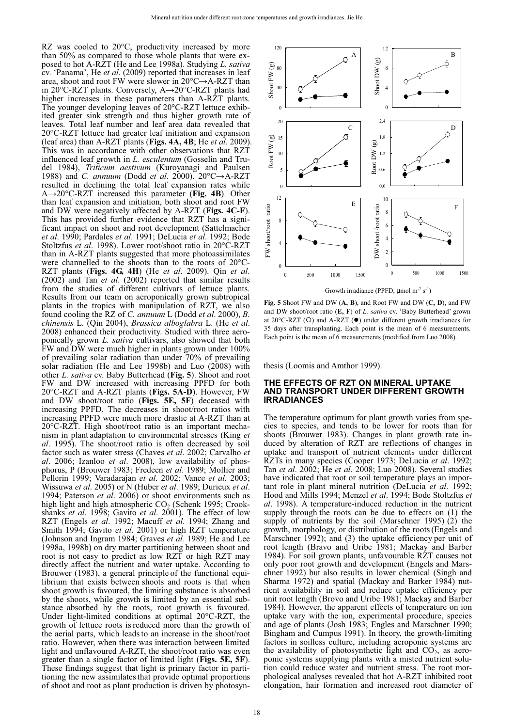RZ was cooled to 20°C, productivity increased by more than 50% as compared to those whole plants that were exposed to hot A-RZT (He and Lee 1998a). Studying *L. sativa* cv. 'Panama', He *et al*. (2009) reported that increases in leaf area, shoot and root FW were slower in  $20^{\circ}$ C $\rightarrow$ A-RZT than in 20°C-RZT plants. Conversely, A→20°C-RZT plants had higher increases in these parameters than A-RZT plants. The younger developing leaves of 20°C-RZT lettuce exhibited greater sink strength and thus higher growth rate of leaves. Total leaf number and leaf area data revealed that 20°C-RZT lettuce had greater leaf initiation and expansion (leaf area) than A-RZT plants (**Figs. 4A, 4B**; He *et al*. 2009). This was in accordance with other observations that RZT influenced leaf growth in *L. esculentum* (Gosselin and Trudel 1984), *Triticum aestivum* (Kuroyanagi and Paulsen 1988) and *C. annuum* (Dodd *et al.* 2000).  $20^{\circ}C \rightarrow A-RZT$ resulted in declining the total leaf expansion rates while A20°C-RZT increased this parameter (**Fig. 4B**). Other than leaf expansion and initiation, both shoot and root FW and DW were negatively affected by A-RZT (**Figs. 4C-F**). This has provided further evidence that RZT has a significant impact on shoot and root development (Sattelmacher *et al*. 1990; Pardales *et al*. 1991; DeLucia *et al*. 1992; Bode Stoltzfus *et al*. 1998). Lower root/shoot ratio in 20°C-RZT than in A-RZT plants suggested that more photoassimilates were channelled to the shoots than to the roots of  $20^{\circ}$ C-RZT plants (**Figs. 4G, 4H**) (He *et al.* 2009). Qin *et al.* (2002) and Tan *et al.* (2002) reported that similar results from the studies of different cultivars of lettuce plants. Results from our team on aeroponically grown subtropical plants in the tropics with manipulation of RZT, we also found cooling the RZ of *C. annuum* L (Dodd *et al*. 2000), *B. chinensis* L. (Qin 2004), *Brassica alboglabra* L. (He *et al*. 2008) enhanced their productivity. Studied with three aeroponically grown *L. sativa* cultivars, also showed that both FW and DW were much higher in plants grown under 100% of prevailing solar radiation than under 70% of prevailing solar radiation (He and Lee 1998b) and Luo (2008) with other *L. sativa* cv. Baby Butterhead (**Fig. 5**). Shoot and root FW and DW increased with increasing PPFD for both 20°C-RZT and A-RZT plants (**Figs. 5A-D**). However, FW and DW shoot/root ratio (**Figs. 5E, 5F**) deceased with increasing PPFD. The decreases in shoot/root ratios with increasing PPFD were much more drastic at A-RZT than at 20°C-RZT. High shoot/root ratio is an important mechanism in plant adaptation to environmental stresses (King *et al*. 1995). The shoot/root ratio is often decreased by soil factor such as water stress (Chaves *et al*. 2002; Carvalho *et al*. 2006; Izanloo *et al*. 2008), low availability of phosphorus, P (Brouwer 1983; Fredeen *et al*. 1989; Mollier and Pellerin 1999; Varadarajan *et al*. 2002; Vance *et al*. 2003; Wissuwa *et al*. 2005) or N (Huber *et al*. 1989; Durieux *et al*. 1994; Paterson *et al*. 2006) or shoot environments such as high light and high atmospheric  $CO<sub>2</sub>$  (Schenk 1995; Crookshanks *et al*. 1998; Gavito *et al*. 2001). The effect of low RZT (Engels *et al*. 1992; Macuff *et al*. 1994; Zhang and Smith 1994; Gavito *et al*. 2001) or high RZT temperature (Johnson and Ingram 1984; Graves *et al.* 1989; He and Lee 1998a, 1998b) on dry matter partitioning between shoot and root is not easy to predict as low RZT or high RZT may directly affect the nutrient and water uptake. According to Brouwer (1983), a general principle of the functional equilibrium that exists between shoots and roots is that when shoot growth is favoured, the limiting substance is absorbed by the shoots, while growth is limited by an essential substance absorbed by the roots, root growth is favoured. Under light-limited conditions at optimal 20°C-RZT, the growth of lettuce roots isreduced more than the growth of the aerial parts, which leadsto an increase in the shoot/root ratio. However, when there was interaction between limited light and unflavoured A-RZT, the shoot/root ratio was even greater than a single factor of limited light (**Figs. 5E, 5F**). These findings suggest that light is primary factor in partitioning the new assimilates that provide optimal proportions of shoot and root as plant production is driven by photosyn-



**Fig. 5** Shoot FW and DW (**A, B**), and Root FW and DW (**C, D**), and FW and DW shoot/root ratio (**E, F**) of *L. sativa* cv. 'Baby Butterhead' grown at 20°C-RZT (O) and A-RZT (<sup>o</sup>) under different growth irradiances for 35 days after transplanting. Each point is the mean of 6 measurements. Each point is the mean of 6 measurements (modified from Luo 2008).

thesis (Loomis and Amthor 1999).

#### **THE EFFECTS OF RZT ON MINERAL UPTAKE AND TRANSPORT UNDER DIFFERENT GROWTH IRRADIANCES**

The temperature optimum for plant growth varies from species to species, and tends to be lower for roots than for shoots (Brouwer 1983). Changes in plant growth rate induced by alteration of RZT are reflections of changes in uptake and transport of nutrient elements under different RZTs in many species (Cooper 1973; DeLucia *et al*. 1992; Tan *et al*. 2002; He *et al*. 2008; Luo 2008). Several studies have indicated that root or soil temperature plays an important role in plant mineral nutrition (DeLucia *et al.* 1992; Hood and Mills 1994; Menzel *et al*. 1994; Bode Stoltzfus *et al*. 1998). A temperature-induced reduction in the nutrient supply through the roots can be due to effects on (1) the supply of nutrients by the soil (Marschner 1995) (2) the growth, morphology, or distribution of the roots(Engels and Marschner 1992); and (3) the uptake efficiency per unit of root length (Bravo and Uribe 1981; Mackay and Barber 1984). For soil grown plants, unfavourable RZT causes not only poor root growth and development (Engels and Marschner 1992) but also results in lower chemical (Singh and Sharma 1972) and spatial (Mackay and Barker 1984) nutrient availability in soil and reduce uptake efficiency per unit root length (Brovo and Uribe 1981; Mackay and Barber 1984). However, the apparent effects of temperature on ion uptake vary with the ion, experimental procedure, species and age of plants (Josh 1983; Engles and Marschner 1990; Bingham and Cumpus 1991). In theory, the growth-limiting factors in soilless culture, including aeroponic systems are the availability of photosynthetic light and  $CO<sub>2</sub>$ , as aeroponic systems supplying plants with a misted nutrient solution could reduce water and nutrient stress. The root morphological analyses revealed that hot A-RZT inhibited root elongation, hair formation and increased root diameter of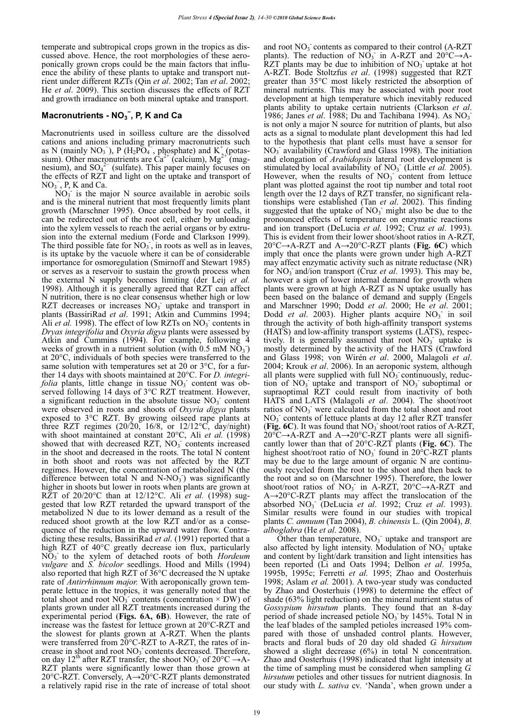temperate and subtropical crops grown in the tropics as discussed above. Hence, the root morphologies of these aeroponically grown crops could be the main factors that influence the ability of these plants to uptake and transport nutrient under different RZTs (Qin *et al*. 2002; Tan *et al*. 2002; He *et al*. 2009). This section discusses the effects of RZT and growth irradiance on both mineral uptake and transport.

## $Macronutrients - NO<sub>3</sub><sup>-</sup>, P, K and Ca$

Macronutrients used in soilless culture are the dissolved cations and anions including primary macronutrients such as N (mainly NO<sub>3</sub>), P (H<sub>2</sub>PO<sub>4</sub><sup>-</sup>, phosphate) and K<sup>+</sup> (potassium). Other macronutrients are  $\text{Ca}^{2+}$  (calcium), Mg<sup>2+ $\text{A}^+$ </sup>(magnesium), and  $SO_4^2$  (sulfate). This paper mainly focuses on the effects of RZT and light on the uptake and transport of  $NO<sub>3</sub><sup>-</sup>$ , P, K and Ca.

 $NO<sub>3</sub>$  is the major N source available in aerobic soils and is the mineral nutrient that most frequently limits plant growth (Marschner 1995). Once absorbed by root cells, it can be redirected out of the root cell, either by unloading into the xylem vessels to reach the aerial organs or by extrusion into the external medium (Forde and Clarkson 1999). The third possible fate for  $NO<sub>3</sub>$ , in roots as well as in leaves, is its uptake by the vacuole where it can be of considerable importance for osmoregulation (Smirnoff and Stewart 1985) or serves as a reservoir to sustain the growth process when the external N supply becomes limiting (der Leij *et al.* 1998). Although it is generally agreed that RZT can affect N nutrition, there is no clear consensus whether high or low RZT decreases or increases  $NO<sub>3</sub>$  uptake and transport in plants (BassiriRad *et al*. 1991; Atkin and Cummins 1994; Ali *et al.* 1998). The effect of low RZTs on  $NO<sub>3</sub>$  contents in *Dryas integrifolia* and *Oxyria digya* plants were assessed by Atkin and Cummins (1994). For example, following 4 weeks of growth in a nutrient solution (with  $0.5$  mM  $\overline{NO_3}$ ) at 20°C, individuals of both species were transferred to the same solution with temperatures set at 20 or 3<sup>o</sup>C, for a further 14 days with shoots maintained at 20°C. For *D. integrifolia* plants, little change in tissue  $NO<sub>3</sub>$  content was observed following 14 days of 3°C RZT treatment. However, a significant reduction in the absolute tissue  $NO<sub>3</sub>$  content were observed in roots and shoots of *Oxyria digya* plants exposed to 3°C RZT. By growing oilseed rape plants at three RZT regimes  $(20/20, 16/8, \text{ or } 12/12^{\circ}\text{C}, \text{ day/night})$ with shoot maintained at constant 20°C, Ali *et al.* (1998) showed that with decreased RZT,  $NO<sub>3</sub>$  contents increased in the shoot and decreased in the roots. The total N content in both shoot and roots was not affected by the RZT regimes. However, the concentration of metabolized N (the difference between total N and N-NO<sub>3</sub>) was significantly higher in shoots but lower in roots when plants are grown at RZT of 20/20°C than at 12/12°C. Ali *et al.* (1998) suggested that low RZT retarded the upward transport of the metabolized N due to its lower demand as a result of the reduced shoot growth at the low RZT and/or as a consequence of the reduction in the upward water flow. Contradicting these results, BassiriRad *et al*. (1991) reported that a high RZT of 40°C greatly decrease ion flux, particularly NO3 - to the xylem of detached roots of both *Hordeum vulgare* and *S. bicolor* seedlings. Hood and Mills (1994) also reported that high RZT of 36°C decreased the N uptake rate of *Antirrhinnum major.* With aeroponically grown temperate lettuce in the tropics, it was generally noted that the total shoot and root  $\overline{NO_3}$  contents (concentration  $\times$  DW) of plants grown under all RZT treatments increased during the experimental period (**Figs. 6A, 6B**). However, the rate of increase was the fastest for lettuce grown at 20°C-RZT and the slowest for plants grown at A-RZT. When the plants were transferred from 20°C-RZT to A-RZT, the rates of increase in shoot and root  $NO<sub>3</sub>$  contents decreased. Therefore, on day 12<sup>th</sup> after RZT transfer, the shoot NO<sub>3</sub> of 20<sup>o</sup>C  $\rightarrow$  A-RZT plants were significantly lower than those grown at 20 $^{\circ}$ C-RZT. Conversely, A $\rightarrow$ 20 $^{\circ}$ C-RZT plants demonstrated a relatively rapid rise in the rate of increase of total shoot

and root NO<sub>3</sub> contents as compared to their control (A-RZT plants). The reduction of  $N\overline{O}_3$  in A-RZT and  $20^{\circ}C \rightarrow A$ -RZT plants may be due to inhibition of  $NO<sub>3</sub>$  uptake at hot A-RZT. Bode Stoltzfus *et al*. (1998) suggested that RZT greater than 35°C most likely restricted the absorption of mineral nutrients. This may be associated with poor root development at high temperature which inevitably reduced plants ability to uptake certain nutrients (Clarkson *et al*. 1986; Janes *et al.* 1988; Du and Tachibana 1994). As  $NO_3$ <sup>-</sup> is not only a major N source for nutrition of plants, but also acts as a signal to modulate plant development this had led to the hypothesis that plant cells must have a sensor for NO3 - availability (Crawford and Glass 1998). The initiation and elongation of *Arabidopsis* lateral root development is stimulated by local availability of  $NO<sub>3</sub>$ <sup>-</sup> (Little *et al.* 2005). However, when the results of  $NO<sub>3</sub>$  content from lettuce plant was plotted against the root tip number and total root length over the 12 days of RZT transfer, no significant relationships were established (Tan *et al*. 2002). This finding suggested that the uptake of  $NO<sub>3</sub>$  might also be due to the pronounced effects of temperature on enzymatic reactions and ion transport (DeLucia *et al.* 1992; Cruz *et al*. 1993). This is evident from their lower shoot/shoot ratios in A-RZT, 20°C→A-RZT and A→20°C-RZT plants (Fig. 6C) which imply that once the plants were grown under high A-RZT may affect enzymatic activity such as nitrate reductase (NR) for NO<sub>3</sub> and/ion transport (Cruz *et al.* 1993). This may be, however a sign of lower internal demand for growth when plants were grown at high A-RZT as N uptake usually has been based on the balance of demand and supply (Engels and Marschner 1990; Dodd *et al*. 2000; He *et al*. 2001; Dodd et al. 2003). Higher plants acquire NO<sub>3</sub> in soil through the activity of both high-affinity transport systems (HATS) and low-affinity transport systems (LATS), respectively. It is generally assumed that root  $NO<sub>3</sub>$  uptake is mostly determined by the activity of the HATS (Crawford and Glass 1998; von Wirén *et al*. 2000, Malagoli *et al*. 2004; Krouk *et al*. 2006). In an aeroponic system, although all plants were supplied with full  $N\overline{O}_3$  continuously, reduction of  $NO_3$  uptake and transport of  $NO_3$  suboptimal or supraoptimal RZT could result from inactivity of both HATS and LATS (Malagoli *et al*. 2004). The shoot/root ratios of NO<sub>3</sub> were calculated from the total shoot and root NO<sub>3</sub> contents of lettuce plants at day 12 after RZT transfer (Fig. 6C). It was found that NO<sub>3</sub> shoot/root ratios of A-RZT,  $20^{\circ}$ C $\rightarrow$ A-RZT and A $\rightarrow$ 20°C-RZT plants were all significantly lower than that of 20°C-RZT plants (**Fig. 6C**). The highest shoot/root ratio of NO<sub>3</sub> found in 20 $\mathrm{^{\circ}C\text{-}RZT}$  plants may be due to the large amount of organic N are continuously recycled from the root to the shoot and then back to the root and so on (Marschner 1995). Therefore, the lower shoot/root ratios of  $NO_3$  in A-RZT, 20°C $\rightarrow$ A-RZT and  $A\rightarrow 20^{\circ}$ C-RZT plants may affect the translocation of the absorbed NO3 - (DeLucia *et al*. 1992; Cruz *et al*. 1993). Similar results were found in our studies with tropical plants *C. annuum* (Tan 2004), *B. chinensis* L. (Qin 2004), *B. alboglabra* (He *et al*. 2008).

Other than temperature,  $NO<sub>3</sub>$  uptake and transport are also affected by light intensity. Modulation of  $NO<sub>3</sub><sup>2</sup>$  uptake and content by light/dark transition and light intensities has been reported (Li and Oats 1994; Delhon *et al*. 1995a, 1995b, 1995c; Ferretti *et al.* 1995; Zhao and Oosterhuis 1998; Aslam *et al.* 2001). A two-year study was conducted by Zhao and Oosterhuis (1998) to determine the effect of shade (63% light reduction) on the mineral nutrient status of *Gossypium hirsutum* plants. They found that an 8-day period of shade increased petiole  $NO<sub>3</sub>$  by 145%. Total N in the leaf blades of the sampled petioles increased 19% compared with those of unshaded control plants. However, bracts and floral buds of 20 day old shaded *G. hirsutum* showed a slight decrease (6%) in total N concentration. Zhao and Oosterhuis (1998) indicated that light intensity at the time of sampling must be considered when sampling *G. hirsutum* petioles and other tissues for nutrient diagnosis. In our study with *L. sativa* cv*.* 'Nanda', when grown under a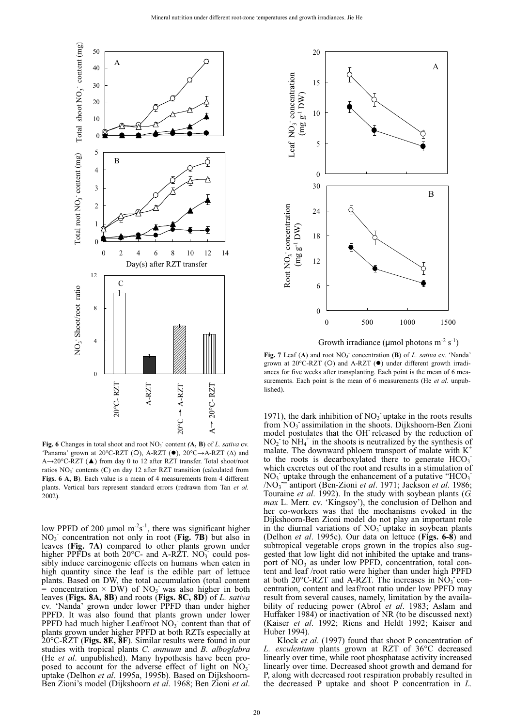

Fig. 6 Changes in total shoot and root NO<sub>3</sub><sup>-</sup> content *(A, B)* of *L. sativa* cv. 'Panama' grown at 20°C-RZT (O), A-RZT (<sup>O</sup>), 20°C->A-RZT ( $\Delta$ ) and A→20°C-RZT (▲) from day 0 to 12 after RZT transfer. Total shoot/root ratios  $NO<sub>3</sub>$ <sup>-</sup> contents (C) on day 12 after RZT transition (calculated from **Figs. 6 A, B**). Each value is a mean of 4 measurements from 4 different plants. Vertical bars represent standard errors (redrawn from Tan *et al.* 2002).

low PPFD of 200  $\mu$ mol m<sup>-2</sup>s<sup>-1</sup>, there was significant higher  $NO<sub>3</sub>$  concentration not only in root (Fig. 7B) but also in leaves (**Fig. 7A**) compared to other plants grown under higher PPFDs at both  $20^{\circ}$ C- and A-RZT. NO<sub>3</sub> could possibly induce carcinogenic effects on humans when eaten in high quantity since the leaf is the edible part of lettuce plants. Based on DW, the total accumulation (total content = concentration  $\times$  DW) of NO<sub>3</sub> was also higher in both leaves (**Figs. 8A, 8B**) and roots (**Figs. 8C, 8D**) of *L. sativa*  cv. 'Nanda' grown under lower PPFD than under higher PPFD. It was also found that plants grown under lower PPFD had much higher Leaf/root  $NO<sub>3</sub>$  content than that of plants grown under higher PPFD at both RZTs especially at 20°C-RZT (**Figs. 8E, 8F**). Similar results were found in our studies with tropical plants *C. annuum* and *B. alboglabra* (He *et al*. unpublished). Many hypothesis have been proposed to account for the adverse effect of light on  $\overline{NO_3}$ uptake (Delhon *et al*. 1995a, 1995b). Based on Dijkshoorn-Ben Zioni's model (Dijkshoorn *et al*. 1968; Ben Zioni *et al*.



Growth irradiance ( $\mu$ mol photons m<sup>-2</sup> s<sup>-1</sup>)

Fig. 7 Leaf (A) and root NO<sub>3</sub> concentration (B) of *L. sativa* cv. 'Nanda' grown at 20°C-RZT (O) and A-RZT (.) under different growth irradiances for five weeks after transplanting. Each point is the mean of 6 measurements. Each point is the mean of 6 measurements (He *et al*. unpublished).

1971), the dark inhibition of  $NO<sub>3</sub>$  uptake in the roots results from NO<sub>3</sub> assimilation in the shoots. Dijkshoorn-Ben Zioni model postulates that the OH<sup>-</sup> released by the reduction of  $NO<sub>2</sub>$  to  $NH<sub>4</sub>$  in the shoots is neutralized by the synthesis of malate. The downward phloem transport of malate with  $K^+$ to the roots is decarboxylated there to generate  $HCO<sub>3</sub>$ which excretes out of the root and results in a stimulation of  $NO<sub>3</sub>$  uptake through the enhancement of a putative "HCO<sub>3</sub>" /NO3 - " antiport (Ben-Zioni *et al*. 1971; Jackson *et al*. 1986; Touraine *et al*. 1992). In the study with soybean plants (*G. max* L. Merr. cv. 'Kingsoy'), the conclusion of Delhon and her co-workers was that the mechanisms evoked in the Dijkshoorn-Ben Zioni model do not play an important role in the diurnal variations of  $NO<sub>3</sub>$  uptake in soybean plants (Delhon *et al*. 1995c). Our data on lettuce (**Figs. 6-8**) and subtropical vegetable crops grown in the tropics also suggested that low light did not inhibited the uptake and transport of  $NO<sub>3</sub>$  as under low PPFD, concentration, total content and leaf /root ratio were higher than under high PPFD at both  $20^{\circ}$ C-RZT and A-RZT. The increases in  $\text{NO}_3$  concentration, content and leaf/root ratio under low PPFD may result from several causes, namely, limitation by the availability of reducing power (Abrol *et al*. 1983; Aslam and Huffaker 1984) or inactivation of NR (to be discussed next) (Kaiser *et al*. 1992; Riens and Heldt 1992; Kaiser and Huber 1994).

Klock *et al*. (1997) found that shoot P concentration of *L. esculentum* plants grown at RZT of 36°C decreased linearly over time, while root phosphatase activity increased linearly over time. Decreased shoot growth and demand for P, along with decreased root respiration probably resulted in the decreased P uptake and shoot P concentration in *L.*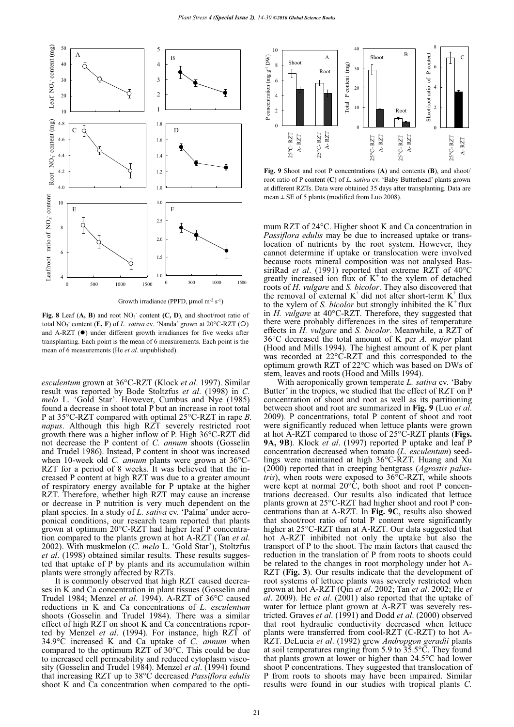

Growth irradiance (PPFD,  $\mu$ mol m<sup>-2</sup> s<sup>-1</sup>)

Fig. 8 Leaf (A, B) and root NO<sub>3</sub> content (C, D), and shoot/root ratio of total NO<sub>3</sub><sup>-</sup> content  $(E, F)$  of *L. sativa* cv. 'Nanda' grown at 20°C-RZT  $(O)$ and A-RZT  $(\bullet)$  under different growth irradiances for five weeks after transplanting. Each point is the mean of 6 measurements. Each point is the mean of 6 measurements (He *et al*. unpublished).

*esculentum* grown at 36°C-RZT (Klock *et al*. 1997). Similar result was reported by Bode Stoltzfus *et al*. (1998) in *C. melo* L. 'Gold Star'. However, Cumbus and Nye (1985) found a decrease in shoot total P but an increase in root total P at 35°C-RZT compared with optimal 25°C-RZT in rape *B. napus*. Although this high RZT severely restricted root growth there was a higher inflow of P. High 36°C-RZT did not decrease the P content of *C. annum* shoots (Gosselin and Trudel 1986). Instead, P content in shoot was increased when 10-week old *C. annum* plants were grown at 36°C-RZT for a period of 8 weeks. It was believed that the increased P content at high RZT was due to a greater amount of respiratory energy available for P uptake at the higher RZT. Therefore, whether high RZT may cause an increase or decrease in P nutrition is very much dependent on the plant species. In a study of *L. sativa* cv. 'Palma' under aeroponical conditions, our research team reported that plants grown at optimum 20°C-RZT had higher leaf P concentration compared to the plants grown at hot A-RZT (Tan *et al*. 2002). With muskmelon (*C. melo* L. 'Gold Star'), Stoltzfus *et al*. (1998) obtained similar results. These results suggested that uptake of P by plants and its accumulation within plants were strongly affected by RZTs.

It is commonly observed that high RZT caused decreases in K and Ca concentration in plant tissues (Gosselin and Trudel 1984; Menzel *et al*. 1994). A-RZT of 36°C caused reductions in K and Ca concentrations of *L. esculentum* shoots (Gosselin and Trudel 1984). There was a similar effect of high RZT on shoot K and Ca concentrations reported by Menzel *et al*. (1994). For instance, high RZT of 34.9°C increased K and Ca uptake of *C. annum* when compared to the optimum RZT of 30°C. This could be due to increased cell permeability and reduced cytoplasm viscosity (Gosselin and Trudel 1984). Menzel *et al*. (1994) found that increasing RZT up to 38°C decreased *Passiflora edulis* shoot K and Ca concentration when compared to the opti-



**Fig. 9** Shoot and root P concentrations (**A**) and contents (**B**), and shoot/ root ratio of P content (**C**) of *L. sativa* cv. 'Baby Butterhead' plants grown at different RZTs. Data were obtained 35 days after transplanting. Data are mean  $\pm$  SE of 5 plants (modified from Luo 2008).

mum RZT of 24°C. Higher shoot K and Ca concentration in *Passiflora edulis* may be due to increased uptake or translocation of nutrients by the root system. However, they cannot determine if uptake or translocation were involved because roots mineral composition was not analysed BassiriRad *et al*. (1991) reported that extreme RZT of 40°C greatly increased ion flux of  $K^+$  to the xylem of detached roots of *H. vulgare* and *S. bicolor*. They also discovered that the removal of external  $K^+$  did not alter short-term  $K^+$  flux to the xylem of *S. bicolor* but strongly inhibited the  $K^+$  flux in *H. vulgare* at 40°C-RZT. Therefore, they suggested that there were probably differences in the sites of temperature effects in *H. vulgare* and *S. bicolor*. Meanwhile, a RZT of 36°C decreased the total amount of K per *A. major* plant (Hood and Mills 1994). The highest amount of K per plant was recorded at 22°C-RZT and this corresponded to the optimum growth RZT of 22°C which was based on DWs of stem, leaves and roots (Hood and Mills 1994).

With aeroponically grown temperate *L. sativa* cv. 'Baby Butter' in the tropics, we studied that the effect of RZT on P concentration of shoot and root as well as its partitioning between shoot and root are summarized in **Fig. 9** (Luo *et al*. 2009). P concentrations, total P content of shoot and root were significantly reduced when lettuce plants were grown at hot A-RZT compared to those of 25°C-RZT plants (**Figs. 9A, 9B**). Klock *et al*. (1997) reported P uptake and leaf P concentration decreased when tomato (*L. esculentum*) seedlings were maintained at high 36°C-RZT. Huang and Xu (2000) reported that in creeping bentgrass (*Agrostis palustris*), when roots were exposed to 36°C-RZT, while shoots were kept at normal 20°C, both shoot and root P concentrations decreased. Our results also indicated that lettuce plants grown at 25°C-RZT had higher shoot and root P concentrations than at A-RZT. In **Fig. 9C**, results also showed that shoot/root ratio of total P content were significantly higher at 25°C-RZT than at A-RZT. Our data suggested that hot A-RZT inhibited not only the uptake but also the transport of P to the shoot. The main factors that caused the reduction in the translation of P from roots to shoots could be related to the changes in root morphology under hot A-RZT (**Fig. 3**). Our results indicate that the development of root systems of lettuce plants was severely restricted when grown at hot A-RZT (Qin *et al*. 2002; Tan *et al*. 2002; He *et*   $\overline{a}$ . 2009). He *et al.* (2001) also reported that the uptake of water for lettuce plant grown at A-RZT was severely restricted. Graves *et al*. (1991) and Dodd *et al*. (2000) observed that root hydraulic conductivity decreased when lettuce plants were transferred from cool-RZT (C-RZT) to hot A-RZT. DeLucia *et al*. (1992) grew *Andropgon geradii* plants at soil temperatures ranging from 5.9 to  $35.5^{\circ}$ C. They found that plants grown at lower or higher than 24.5°C had lower shoot P concentrations. They suggested that translocation of P from roots to shoots may have been impaired. Similar results were found in our studies with tropical plants *C.*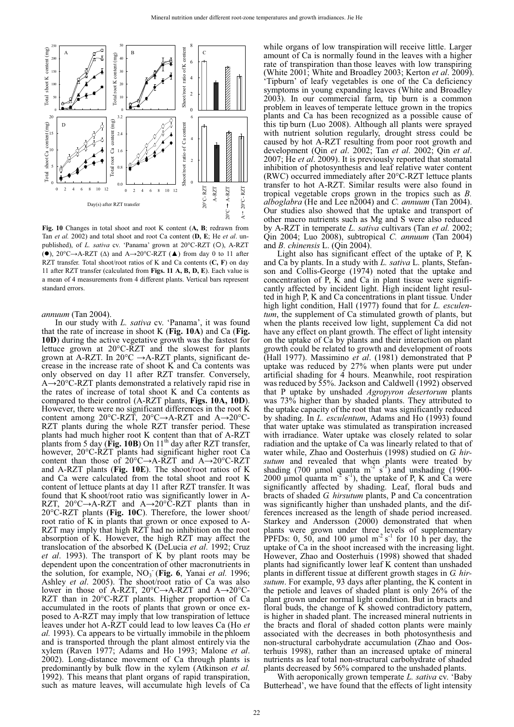

**Fig. 10** Changes in total shoot and root K content (**A, B**; redrawn from Tan *et al.* 2002) and total shoot and root Ca content (**D, E**; He *et al*. unpublished), of *L. sativa* cv. 'Panama' grown at 20°C-RZT (O), A-RZT ( $\bullet$ ), 20°C $\rightarrow$ A-RZT ( $\Delta$ ) and A $\rightarrow$ 20°C-RZT ( $\blacktriangle$ ) from day 0 to 11 after RZT transfer. Total shoot/root ratios of K and Ca contents (**C, F**) on day 11 after RZT transfer (calculated from **Figs. 11 A, B, D, E**). Each value is a mean of 4 measurements from 4 different plants. Vertical bars represent standard errors.

*annuum* (Tan 2004).

In our study with *L. sativa* cv. 'Panama', it was found that the rate of increase in shoot K (**Fig. 10A**) and Ca (**Fig. 10D**) during the active vegetative growth was the fastest for lettuce grown at 20°C-RZT and the slowest for plants grown at A-RZT. In  $20^{\circ}$ C  $\rightarrow$  A-RZT plants, significant decrease in the increase rate of shoot K and Ca contents was only observed on day 11 after RZT transfer. Conversely,  $A\rightarrow 20^{\circ}$ C-RZT plants demonstrated a relatively rapid rise in the rates of increase of total shoot K and Ca contents as compared to their control (A-RZT plants, **Figs. 10A, 10D**). However, there were no significant differences in the root K content among 20°C-RZT, 20°C $\rightarrow$ A-RZT and A $\rightarrow$ 20°C-RZT plants during the whole RZT transfer period. These plants had much higher root K content than that of A-RZT plants from 5 day ( $\text{Fig. 10B}$ ) On  $11^{\text{th}}$  day after RZT transfer, however, 20°C-RZT plants had significant higher root Ca content than those of  $20^{\circ}C \rightarrow A-RZT$  and  $A\rightarrow 20^{\circ}C-RZT$ and A-RZT plants (**Fig. 10E**). The shoot/root ratios of K and Ca were calculated from the total shoot and root K content of lettuce plants at day 11 after RZT transfer. It was found that K shoot/root ratio was significantly lower in A-RZT,  $20^{\circ}C \rightarrow A-RZT$  and  $A \rightarrow 20^{\circ}C-RZT$  plants than in 20°C-RZT plants (**Fig. 10C**). Therefore, the lower shoot/ root ratio of K in plants that grown or once exposed to A-RZT may imply that high RZT had no inhibition on the root absorption of K. However, the high RZT may affect the translocation of the absorbed K (DeLucia *et al*. 1992; Cruz *et al*. 1993). The transport of K by plant roots may be dependent upon the concentration of other macronutrients in the solution, for example, NO<sub>3</sub> (Fig. 6, Yanai *et al.* 1996; Ashley *et al*. 2005). The shoot/root ratio of Ca was also lower in those of A-RZT,  $20^{\circ}C \rightarrow A-RZT$  and  $A \rightarrow 20^{\circ}C$ -RZT than in 20°C-RZT plants. Higher proportion of Ca accumulated in the roots of plants that grown or once exposed to A-RZT may imply that low transpiration of lettuce leaves under hot A-RZT could lead to low leaves Ca (Ho *et al.* 1993). Ca appears to be virtually immobile in the phloem and is transported through the plant almost entirely via the xylem (Raven 1977; Adams and Ho 1993; Malone *et al*. 2002). Long-distance movement of Ca through plants is predominantly by bulk flow in the xylem (Atkinson *et al.* 1992). This means that plant organs of rapid transpiration, such as mature leaves, will accumulate high levels of Ca

while organs of low transpiration will receive little. Larger amount of Ca is normally found in the leaves with a higher rate of transpiration than those leaves with low transpiring (White 2001; White and Broadley 2003; Kerton *et al*. 2009). 'Tipburn' of leafy vegetables is one of the Ca deficiency symptoms in young expanding leaves (White and Broadley 2003). In our commercial farm, tip burn is a common problem in leaves of temperate lettuce grown in the tropics plants and Ca has been recognized as a possible cause of this tip burn (Luo 2008). Although all plants were sprayed with nutrient solution regularly, drought stress could be caused by hot A-RZT resulting from poor root growth and development (Qin *et al*. 2002; Tan *et al*. 2002; Qin *et al*. 2007; He *et al*. 2009). It is previously reported that stomatal inhibition of photosynthesis and leaf relative water content (RWC) occurred immediately after 20°C-RZT lettuce plants transfer to hot A-RZT. Similar results were also found in tropical vegetable crops grown in the tropics such as *B. alboglabra* (He and Lee n2004) and *C. annuum* (Tan 2004). Our studies also showed that the uptake and transport of other macro nutrients such as Mg and S were also reduced by A-RZT in temperate *L. sativa* cultivars (Tan *et al.* 2002; Qin 2004; Luo 2008), subtropical *C. annuum* (Tan 2004) and *B. chinensis* L. (Qin 2004).

Light also has significant effect of the uptake of P, K and Ca by plants. In a study with *L. sativa* L. plants, Stefanson and Collis-George (1974) noted that the uptake and concentration of P,  $\overline{K}$  and Ca in plant tissue were significantly affected by incident light. High incident light resulted in high P, K and Ca concentrations in plant tissue*.* Under high light condition, Hall (1977) found that for *L. esculentum*, the supplement of Ca stimulated growth of plants, but when the plants received low light, supplement Ca did not have any effect on plant growth. The effect of light intensity on the uptake of Ca by plants and their interaction on plant growth could be related to growth and development of roots (Hall 1977). Massimino *et al*. (1981) demonstrated that P uptake was reduced by 27% when plants were put under artificial shading for 4 hours. Meanwhile, root respiration was reduced by 55%. Jackson and Caldwell (1992) observed that P uptake by unshaded *Agropyron desertorum* plants was 73% higher than by shaded plants. They attributed to the uptake capacity of the root that was significantly reduced by shading. In *L. esculentum*, Adams and Ho (1993) found that water uptake was stimulated as transpiration increased with irradiance. Water uptake was closely related to solar radiation and the uptake of Ca was linearly related to that of water while, Zhao and Oosterhuis (1998) studied on *G. hirsutum* and revealed that when plants were treated by shading (700 µmol quanta m<sup>-2</sup> s<sup>-f</sup>) and unshading (1900-2000 µmol quanta m<sup>-2</sup> s<sup>-1</sup>), the uptake of P, K and Ca were significantly affected by shading. Leaf, floral buds and bracts of shaded *G. hirsutum* plants, P and Ca concentration was significantly higher than unshaded plants, and the differences increased as the length of shade period increased. Starkey and Andersson (2000) demonstrated that when plants were grown under three levels of supplementary PPFDs: 0, 50, and 100  $\mu$ mol m<sup>-2</sup> s<sup>-1</sup> for 10 h per day, the uptake of Ca in the shoot increased with the increasing light. However, Zhao and Oosterhuis (1998) showed that shaded plants had significantly lower leaf K content than unshaded plants in different tissue at different growth stages in *G. hirsutum*. For example, 93 days after planting, the K content in the petiole and leaves of shaded plant is only 26% of the plant grown under normal light condition. But in bracts and floral buds, the change of  $\overline{K}$  showed contradictory pattern, is higher in shaded plant. The increased mineral nutrients in the bracts and floral of shaded cotton plants were mainly associated with the decreases in both photosynthesis and non-structural carbohydrate accumulation (Zhao and Oosterhuis 1998), rather than an increased uptake of mineral nutrients as leaf total non-structural carbohydrate of shaded plants decreased by 56% compared to the unshaded plants.

With aeroponically grown temperate *L. sativa* cv. 'Baby Butterhead', we have found that the effects of light intensity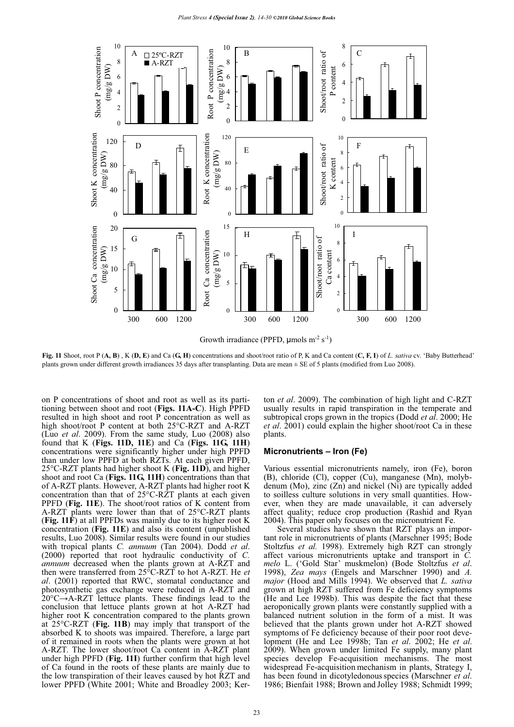

**Fig. 11** Shoot, root P (**A, B**) , K (**D, E**) and Ca (**G, H**) concentrations and shoot/root ratio of P, K and Ca content (**C, F, I**) of *L. sativa* cv. 'Baby Butterhead' plants grown under different growth irradiances 35 days after transplanting. Data are mean ± SE of 5 plants (modified from Luo 2008).

on P concentrations of shoot and root as well as its partitioning between shoot and root (**Figs. 11A-C**). High PPFD resulted in high shoot and root P concentration as well as high shoot/root P content at both 25°C-RZT and A-RZT (Luo *et al*. 2009). From the same study, Luo (2008) also found that K (**Figs. 11D, 11E**) and Ca (**Figs. 11G, 11H**) concentrations were significantly higher under high PPFD than under low PPFD at both RZTs. At each given PPFD, 25°C-RZT plants had higher shoot K (**Fig. 11D**), and higher shoot and root Ca (**Figs. 11G, 11H**) concentrations than that of A-RZT plants. However, A-RZT plants had higher root K concentration than that of 25°C-RZT plants at each given PPFD (**Fig. 11E**). The shoot/root ratios of K content from A-RZT plants were lower than that of 25°C-RZT plants (**Fig. 11F**) at all PPFDs was mainly due to its higher root K concentration (**Fig. 11E**) and also its content (unpublished results, Luo 2008). Similar results were found in our studies with tropical plants *C. annuum* (Tan 2004). Dodd *et al*. (2000) reported that root hydraulic conductivity of *C. annuum* decreased when the plants grown at A-RZT and then were transferred from 25°C-RZT to hot A-RZT. He *et al*. (2001) reported that RWC, stomatal conductance and photosynthetic gas exchange were reduced in A-RZT and  $20^{\circ}$ C $\rightarrow$ A-RZT lettuce plants. These findings lead to the conclusion that lettuce plants grown at hot A-RZT had higher root K concentration compared to the plants grown at 25°C-RZT (**Fig. 11B**) may imply that transport of the absorbed K to shoots was impaired. Therefore, a large part of it remained in roots when the plants were grown at hot A-RZT. The lower shoot/root Ca content in A-RZT plant under high PPFD (**Fig. 11I**) further confirm that high level of Ca found in the roots of these plants are mainly due to the low transpiration of their leaves caused by hot RZT and lower PPFD (White 2001; White and Broadley 2003; Kerton *et al*. 2009). The combination of high light and C-RZT usually results in rapid transpiration in the temperate and subtropical crops grown in the tropics (Dodd *et al*. 2000; He *et al*. 2001) could explain the higher shoot/root Ca in these plants.

#### **Micronutrients – Iron (Fe)**

Various essential micronutrients namely, iron (Fe), boron (B), chloride (Cl), copper (Cu), manganese (Mn), molybdenum (Mo), zinc (Zn) and nickel (Ni) are typically added to soilless culture solutions in very small quantities. However, when they are made unavailable, it can adversely affect quality; reduce crop production (Rashid and Ryan 2004). This paper only focuses on the micronutrient Fe.

Several studies have shown that RZT plays an important role in micronutrients of plants (Marschner 1995; Bode Stoltzfus *et al.* 1998). Extremely high RZT can strongly affect various micronutrients uptake and transport in *C. melo* L. ('Gold Star' muskmelon) (Bode Stoltzfus *et al*. 1998), *Zea mays* (Engels and Marschner 1990) and *A. major* (Hood and Mills 1994). We observed that *L. sativa* grown at high RZT suffered from Fe deficiency symptoms (He and Lee 1998b). This was despite the fact that these aeroponically grown plants were constantly supplied with a balanced nutrient solution in the form of a mist. It was believed that the plants grown under hot A-RZT showed symptoms of Fe deficiency because of their poor root development (He and Lee 1998b; Tan *et al*. 2002; He *et al*. 2009). When grown under limited Fe supply, many plant species develop Fe-acquisition mechanisms. The most widespread Fe-acquisition mechanism in plants, Strategy I, has been found in dicotyledonousspecies (Marschner *et al*. 1986; Bienfait 1988; Brown and Jolley 1988; Schmidt 1999;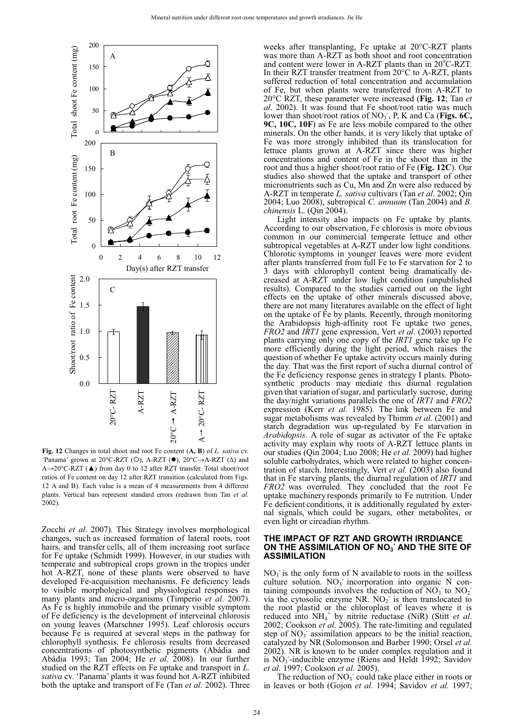

**Fig. 12** Changes in total shoot and root Fe content (**A, B**) of *L. sativa* cv. 'Panama' grown at 20°C-RZT (O), A-RZT (<sup>O</sup>), 20°C->A-RZT ( $\Delta$ ) and A→20°C-RZT (▲) from day 0 to 12 after RZT transfer. Total shoot/root ratios of Fe content on day 12 after RZT transition (calculated from Figs. 12 A and B). Each value is a mean of 4 measurements from 4 different plants. Vertical bars represent standard errors (redrawn from Tan *et al.* 2002).

Zocchi *et al*. 2007). This Strategy involves morphological changes, such as increased formation of lateral roots, root hairs, and transfer cells, all of them increasing root surface for Fe uptake (Schmidt 1999). However, in our studies with temperate and subtropical crops grown in the tropics under hot A-RZT, none of these plants were observed to have developed Fe-acquisition mechanisms. Fe deficiency leads to visible morphological and physiological responses in many plants and micro-organisms (Timperio *et al*. 2007). As Fe is highly immobile and the primary visible symptom of Fe deficiency is the development of interveinal chlorosis on young leaves (Marschner 1995). Leaf chlorosis occurs because Fe is required at several steps in the pathway for chlorophyll synthesis. Fe chlorosis results from decreased concentrations of photosynthetic pigments (Abádia and Abádia 1993; Tan 2004; He *et al*. 2008). In our further studied on the RZT effects on Fe uptake and transport in *L. sativa* cv. 'Panama' plants it was found hot A-RZT inhibited both the uptake and transport of Fe (Tan *et al*. 2002). Three

weeks after transplanting, Fe uptake at 20°C-RZT plants was more than A-RZT as both shoot and root concentration and content were lower in A-RZT plants than in 20°C-RZT. In their RZT transfer treatment from 20°C to A-RZT, plants suffered reduction of total concentration and accumulation of Fe, but when plants were transferred from A-RZT to 20°C RZT, these parameter were increased (**Fig. 12**; Tan *et al*. 2002). It was found that Fe shoot/root ratio was much lower than shoot/root ratios of NO<sub>3</sub><sup>-</sup>, P, K and Ca (Figs. 6C, **9C, 10C, 10F**) as Fe are less mobile compared to the other minerals. On the other hands, it is very likely that uptake of Fe was more strongly inhibited than its translocation for lettuce plants grown at A-RZT since there was higher concentrations and content of Fe in the shoot than in the root and thus a higher shoot/root ratio of Fe (**Fig. 12C**). Our studies also showed that the uptake and transport of other micronutrients such as Cu, Mn and Zn were also reduced by A-RZT in temperate *L. sativa* cultivars (Tan *et al*. 2002; Qin 2004; Luo 2008), subtropical *C. annuum* (Tan 2004) and *B. chinensis* L. (Qin 2004).

Light intensity also impacts on Fe uptake by plants. According to our observation, Fe chlorosis is more obvious common in our commercial temperate lettuce and other subtropical vegetables at A-RZT under low light conditions. Chlorotic symptoms in younger leaves were more evident after plants transferred from full Fe to Fe starvation for 2 to 3 days with chlorophyll content being dramatically decreased at A-RZT under low light condition (unpublished results). Compared to the studies carried out on the light effects on the uptake of other minerals discussed above, there are not many literatures available on the effect of light on the uptake of Fe by plants. Recently, through monitoring the Arabidopsis high-affinity root Fe uptake two genes, *FRO2* and *IRT1* gene expression, Vert *et al.* (2003) reported plants carrying only one copy of the *IRT1* gene take up Fe more efficiently during the light period, which raises the question of whether Fe uptake activity occurs mainly during the day. That was the first report of such a diurnal control of the Fe deficiency response genes in strategy I plants. Photosynthetic products may mediate this diurnal regulation given that variation of sugar, and particularly sucrose, during the day/night variations parallelsthe one of *IRT1* and *FRO2* expression (Kerr *et al*. 1985). The link between Fe and sugar metabolisms was revealed by Thimm *et al*. (2001) and starch degradation was up-regulated by Fe starvation in *Arabidopsis*. A role of sugar as activator of the Fe uptake activity may explain why roots of A-RZT lettuce plants in our studies (Qin 2004; Luo 2008; He *et al*. 2009) had higher soluble carbohydrates, which were related to higher concentration of starch. Interestingly, Vert *et al.* (2003) also found that in Fe starving plants, the diurnal regulation of *IRT1* and *FRO2* was overruled. They concluded that the root Fe uptake machinery responds primarily to Fe nutrition. Under Fe deficient conditions, it is additionally regulated by external signals, which could be sugars, other metabolites, or even light or circadian rhythm.

#### **THE IMPACT OF RZT AND GROWTH IRRDIANCE**  ON THE ASSIMILATION OF NO<sub>3</sub> AND THE SITE OF **ASSIMILATION**

 $NO<sub>3</sub>$  is the only form of N available to roots in the soilless culture solution.  $NO<sub>3</sub>$  incorporation into organic N containing compounds involves the reduction of  $NO<sub>3</sub>$  to  $NO<sub>2</sub>$ via the cytosolic enzyme NR.  $NO<sub>2</sub>$  is then translocated to the root plastid or the chloroplast of leaves where it is reduced into NH<sub>4</sub><sup>+</sup> by nitrite reductase (NiR) (Stitt *et al.* 2002; Cookson *et al*. 2005). The rate-limiting and regulated step of  $NO<sub>3</sub>$  assimilation appears to be the initial reaction, catalyzed by NR(Solomonson and Barber 1990; Orsel *et al.* 2002). NR is known to be under complex regulation and it is  $NO_3$ -inducible enzyme (Riens and Heldt 1992; Savidov *et al.* 1997; Cookson *et al*. 2005).

The reduction of  $NO<sub>3</sub>$  could take place either in roots or in leaves or both (Gojon *et al.* 1994; Savidov *et al.* 1997;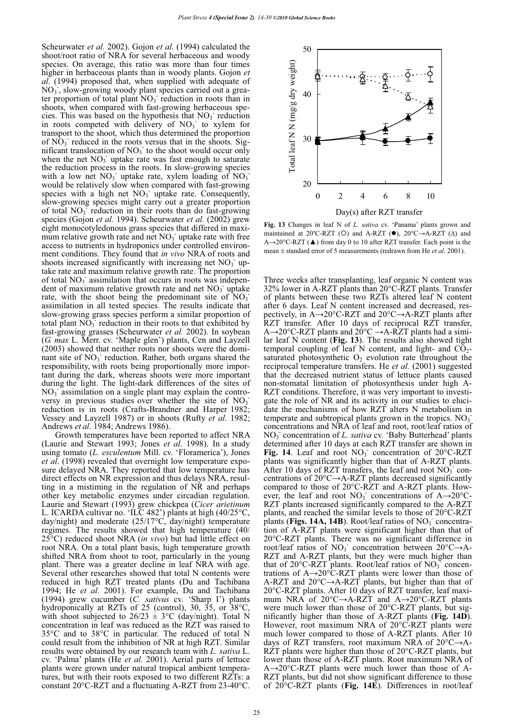Scheurwater *et al.* 2002). Gojon *et al.* (1994) calculated the shoot/root ratio of NRA for several herbaceous and woody species. On average, this ratio was more than four times higher in herbaceous plants than in woody plants. Gojon *et al.* (1994) proposed that, when supplied with adequate of  $NO<sub>3</sub>$ , slow-growing woody plant species carried out a greater proportion of total plant  $NO<sub>3</sub>$  reduction in roots than in shoots, when compared with fast-growing herbaceous species. This was based on the hypothesis that  $NO<sub>3</sub>$  reduction in roots competed with delivery of  $NO<sub>3</sub>$  to xylem for transport to the shoot, which thus determined the proportion of  $\overline{NO_3}$  reduced in the roots versus that in the shoots. Significant translocation of  $NO<sub>3</sub>$  to the shoot would occur only when the net  $NO<sub>3</sub>$  uptake rate was fast enough to saturate the reduction process in the roots. In slow-growing species with a low net  $NO_3$  uptake rate, xylem loading of  $NO_3$ would be relatively slow when compared with fast-growing species with a high net  $NO_3$  uptake rate. Consequently, slow-growing species might carry out a greater proportion of total  $NO_3$ <sup>-</sup> reduction in their roots than do fast-growing species (Gojon *et al.* 1994). Scheurwater *et al.* (2002) grew eight monocotyledonous grass species that differed in maximum relative growth rate and net  $NO<sub>3</sub>$  uptake rate with free access to nutrients in hydroponics under controlled environment conditions. They found that *in vivo* NRA of roots and shoots increased significantly with increasing net  $NO<sub>3</sub>$  uptake rate and maximum relative growth rate. The proportion of total NO<sub>3</sub> assimilation that occurs in roots was independent of maximum relative growth rate and net  $NO<sub>3</sub>$  uptake rate, with the shoot being the predominant site of  $NO<sub>3</sub>$ assimilation in all tested species. The results indicate that slow-growing grass species perform a similar proportion of total plant  $\overline{NO_3}$  reduction in their roots to that exhibited by fast-growing grasses (Scheurwater *et al.* 2002). In soybean (*G. max* L. Merr. cv. 'Maple glen') plants, Cen and Layzell (2003) showed that neither roots nor shoots were the dominant site of NO<sub>3</sub> reduction. Rather, both organs shared the responsibility, with roots being proportionally more important during the dark, whereas shoots were more important during the light. The light-dark differences of the sites of  $NO<sub>3</sub>$  assimilation on a single plant may explain the controversy in previous studies over whether the site of  $NO<sub>3</sub>$ reduction is in roots (Crafts-Brandner and Harper 1982; Vessey and Layzell 1987) or in shoots (Rufty *et al*. 1982; Andrews *et al*. 1984; Andrews 1986).

Growth temperatures have been reported to affect NRA (Laurie and Stewart 1993; Jones *et al*. 1998). In a study using tomato (*L. esculentum* Mill. cv. 'Floramerica'), Jones *et al*. (1998) revealed that overnight low temperature exposure delayed NRA. They reported that low temperature has direct effects on NR expression and thus delays NRA, resulting in a mistiming in the regulation of NR and perhaps other key metabolic enzymes under circadian regulation. Laurie and Stewart (1993) grew chickpea (*Cicer arietinum* L. ICARDA cultivar no. 'ILC 482') plants at high (40/25°C, day/night) and moderate (25/17°C, day/night) temperature regimes. The results showed that high temperature (40/ 25°C) reduced shoot NRA (*in vivo*) but had little effect on root NRA. On a total plant basis, high temperature growth shifted NRA from shoot to root, particularly in the young plant. There was a greater decline in leaf NRA with age. Several other researches showed that total N contents were reduced in high RZT treated plants (Du and Tachibana 1994; He *et al.* 2001). For example, Du and Tachibana (1994) grew cucumber (*C. sativus* cv. 'Sharp I') plants hydroponically at RZTs of 25 (control), 30, 35, or 38°C, with shoot subjected to  $26/23 \pm 3$ °C (day/night). Total N concentration in leaf was reduced as the RZT was raised to 35°C and to 38°C in particular. The reduced of total N could result from the inhibition of NR at high RZT. Similar results were obtained by our research team with *L. sativa* L. cv. 'Palma' plants (He *et al.* 2001). Aerial parts of lettuce plants were grown under natural tropical ambient temperatures, but with their roots exposed to two different RZTs: a constant 20°C-RZT and a fluctuating A-RZT from 23-40°C.



25



**Fig. 13** Changes in leaf N of *L. sativa* cv. 'Panama' plants grown and maintained at 20°C-RZT (O) and A-RZT (<sup>o</sup>), 20°C->A-RZT ( $\Delta$ ) and A→20°C-RZT (▲) from day 0 to 10 after RZT transfer. Each point is the mean  $\pm$  standard error of 5 measurements (redrawn from He *et al.* 2001).

Three weeks after transplanting, leaf organic N content was 32% lower in A-RZT plants than 20°C-RZT plants. Transfer of plants between these two RZTs altered leaf N content after 6 days. Leaf N content increased and decreased, respectively, in  $A\rightarrow 20^{\circ}C$ -RZT and  $20^{\circ}C\rightarrow A$ -RZT plants after RZT transfer. After 10 days of reciprocal RZT transfer,  $A\rightarrow 20^{\circ}C$ -RZT plants and  $20^{\circ}C \rightarrow A$ -RZT plants had a similar leaf N content (**Fig. 13**). The results also showed tight temporal coupling of leaf N content, and light- and  $CO<sub>2</sub>$ saturated photosynthetic  $O_2$  evolution rate throughout the reciprocal temperature transfers. He *et al.* (2001) suggested that the decreased nutrient status of lettuce plants caused non-stomatal limitation of photosynthesis under high A-RZT conditions. Therefore, it was very important to investigate the role of NR and its activity in our studies to elucidate the mechanisms of how RZT alters N metabolism in temperate and subtropical plants grown in the tropics.  $NO<sub>3</sub>$ <sup>-</sup> concentrations and NRA of leaf and root, root/leaf ratios of NO<sub>3</sub> concentration of *L. sativa* cv. 'Baby Butterhead' plants determined after 10 days at each RZT transfer are shown in Fig. 14. Leaf and root NO<sub>3</sub> concentration of 20°C-RZT plants was significantly higher than that of A-RZT plants. After 10 days of RZT transfers, the leaf and root  $NO<sub>3</sub><sup>-</sup>$  concentrations of  $20^{\circ}C \rightarrow A$ -RZT plants decreased significantly compared to those of 20°C-RZT and A-RZT plants. However, the leaf and root  $NO_3$  concentrations of A $\rightarrow$ 20°C-RZT plants increased significantly compared to the A-RZT plants, and reached the similar levels to those of 20°C-RZT plants (**Figs. 14A, 14B**). Root/leaf ratios of  $NO<sub>3</sub>$  concentration of A-RZT plants were significant higher than that of 20°C-RZT plants. There was no significant difference in root/leaf ratios of NO<sub>3</sub> concentration between  $20^{\circ}$ C $\rightarrow$ A-RZT and A-RZT plants, but they were much higher than that of  $20^{\circ}$ C-RZT plants. Root/leaf ratios of NO<sub>3</sub><sup> $\degree$ </sup> concentrations of  $A\rightarrow 20^{\circ}C$ -RZT plants were lower than those of A-RZT and  $20^{\circ}$ C $\rightarrow$ A-RZT plants, but higher than that of 20°C-RZT plants. After 10 days of RZT transfer, leaf maximum NRA of  $20^{\circ}C \rightarrow A-RZ\dot{T}$  and  $A \rightarrow 20^{\circ}C-RZT$  plants were much lower than those of 20°C-RZT plants, but significantly higher than those of A-RZT plants (**Fig. 14D**). However, root maximum NRA of 20°C-RZT plants were much lower compared to those of A-RZT plants. After 10 days of RZT transfers, root maximum NRA of  $20^{\circ}C \rightarrow A$ -RZT plants were higher than those of 20°C-RZT plants, but lower than those of A-RZT plants. Root maximum NRA of  $A\rightarrow 20^{\circ}$ C-RZT plants were much lower than those of A-RZT plants, but did not show significant difference to those of 20°C-RZT plants (**Fig. 14E**). Differences in root/leaf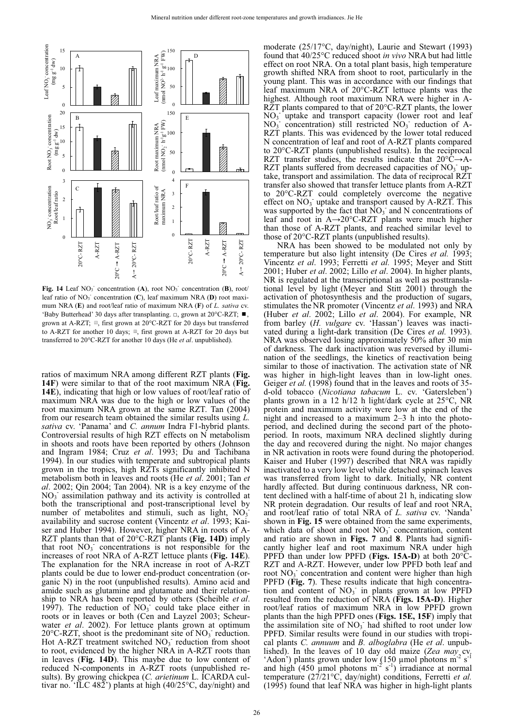

Fig. 14 Leaf NO<sub>3</sub> concentration (A), root NO<sub>3</sub> concentration (B), root/ leaf ratio of NO<sub>3</sub> concentration (C), leaf maximum NRA (D) root maximum NRA (**E**) and root/leaf ratio of maximum NRA (**F**) of *L. sativa* cv. 'Baby Butterhead' 30 days after transplanting.  $\Box$ , grown at 20°C-RZT;  $\blacksquare$ , mum NKA (**E**) and foothear ratio of maximum NKA (**F**) of *L*. *saliva* cv.<br>
'Baby Butterhead' 30 days after transplanting.  $\Box$ , grown at 20°C-RZT;  $\blacksquare$ ,<br>
grown at A-RZT for another 10 days;  $\blacksquare$ , first grown at A-RZT transferred to 20°C-RZT for another 10 days (He *et al*. unpublished).

ratios of maximum NRA among different RZT plants (**Fig. 14F**) were similar to that of the root maximum NRA (**Fig. 14E**), indicating that high or low values of root/leaf ratio of maximum NRA was due to the high or low values of the root maximum NRA grown at the same RZT. Tan (2004) from our research team obtained the similar results using *L. sativa* cv. 'Panama' and *C. annum* Indra F1-hybrid plants. Controversial results of high RZT effects on N metabolism in shoots and roots have been reported by others (Johnson and Ingram 1984; Cruz *et al*. 1993; Du and Tachibana 1994). In our studies with temperate and subtropical plants grown in the tropics, high RZTs significantly inhibited N metabolism both in leaves and roots (He *et al*. 2001; Tan *et al*. 2002; Qin 2004; Tan 2004). NR is a key enzyme of the  $NO<sub>3</sub>$  assimilation pathway and its activity is controlled at both the transcriptional and post-transcriptional level by number of metabolites and stimuli, such as light,  $NO<sub>3</sub>$ <sup>-</sup> availability and sucrose content (Vincentz *et al*. 1993; Kaiser and Huber 1994). However, higher NRA in roots of A-RZT plants than that of 20°C-RZT plants (**Fig. 14D**) imply that root  $NO_3$  concentrations is not responsible for the increases of root NRA of A-RZT lettuce plants (**Fig. 14E**). The explanation for the NRA increase in root of A-RZT plants could be due to lower end-product concentration (organic N) in the root (unpublished results). Amino acid and amide such as glutamine and glutamate and their relationship to NRA has been reported by others (Scheible *et al*. 1997). The reduction of  $\text{NO}_3$  could take place either in roots or in leaves or both (Cen and Layzel 2003; Scheurwater *et al*. 2002). For lettuce plants grown at optimum 20 $\degree$ C-RZT, shoot is the predominant site of NO<sub>3</sub> reduction. Hot A-RZT treatment switched  $NO<sub>3</sub>$  reduction from shoot to root, evidenced by the higher NRA in A-RZT roots than in leaves (**Fig. 14D**). This maybe due to low content of reduced N-components in A-RZT roots (unpublished results). By growing chickpea (*C. arietinum* L. ICARDA cultivar no. 'ILC 482') plants at high (40/25 $\degree$ C, day/night) and

moderate (25/17°C, day/night), Laurie and Stewart (1993) found that 40/25°C reduced shoot *in vivo* NRA but had little effect on root NRA. On a total plant basis, high temperature growth shifted NRA from shoot to root, particularly in the young plant. This was in accordance with our findings that leaf maximum NRA of 20°C-RZT lettuce plants was the highest. Although root maximum NRA were higher in A-RZT plants compared to that of 20°C-RZT plants, the lower NO<sub>3</sub> uptake and transport capacity (lower root and leaf  $NO<sub>3</sub>$  concentration) still restricted  $NO<sub>3</sub>$  reduction of A-RZT plants. This was evidenced by the lower total reduced N concentration of leaf and root of A-RZT plants compared to 20°C-RZT plants (unpublished results). In the reciprocal RZT transfer studies, the results indicate that  $20^{\circ}$ C $\rightarrow$ A-RZT plants suffered from decreased capacities of  $NO<sub>3</sub>$  uptake, transport and assimilation. The data of reciprocal RZT transfer also showed that transfer lettuce plants from A-RZT to 20°C-RZT could completely overcome the negative effect on  $NO_3$  uptake and transport caused by A-RZT. This was supported by the fact that  $\overline{NO_3}$  and N concentrations of leaf and root in  $A\rightarrow 20^{\circ}$ C-RZT plants were much higher than those of A-RZT plants, and reached similar level to those of 20°C-RZT plants (unpublished results).

NRA has been showed to be modulated not only by temperature but also light intensity (De Cires *et al.* 1993; Vincentz *et al*. 1993; Ferretti *et al.* 1995; Meyer and Stitt 2001; Huber *et al*. 2002; Lillo *et al*. 2004). In higher plants, NR is regulated at the transcriptional as well as posttranslational level by light (Meyer and Stitt 2001) through the activation of photosynthesis and the production of sugars, stimulates the NR promoter (Vincentz *et al*. 1993) and NRA (Huber *et al*. 2002; Lillo *et al*. 2004). For example, NR from barley (*H. vulgare* cv. 'Hassan') leaves was inactivated during a light-dark transition (De Cires *et al.* 1993). NRA was observed losing approximately 50% after 30 min of darkness. The dark inactivation was reversed by illumination of the seedlings, the kinetics of reactivation being similar to those of inactivation. The activation state of NR was higher in high-light leaves than in low-light ones. Geiger *et al.* (1998) found that in the leaves and roots of 35d-old tobacco (*Nicotiana tabacum* L. cv. 'Gatersleben') plants grown in a 12 h/12 h light/dark cycle at 25°C, NR protein and maximum activity were low at the end of the night and increased to a maximum 2–3 h into the photoperiod, and declined during the second part of the photoperiod. In roots, maximum NRA declined slightly during the day and recovered during the night. No major changes in NR activation in roots were found during the photoperiod. Kaiser and Huber (1997) described that NRA was rapidly inactivated to a very low level while detached spinach leaves was transferred from light to dark. Initially, NR content hardly affected. But during continuous darkness, NR content declined with a half-time of about 21 h, indicating slow NR protein degradation. Our results of leaf and root NRA, and root/leaf ratio of total NRA of *L. sativa* cv. 'Nanda' shown in **Fig. 15** were obtained from the same experiments, which data of shoot and root  $NO<sub>3</sub>$  concentration, content and ratio are shown in **Figs. 7** and **8**. Plants had significantly higher leaf and root maximum NRA under high PPFD than under low PPFD (**Figs. 15A-D**) at both 20°C-RZT and A-RZT. However, under low PPFD both leaf and root  $NO<sub>3</sub>$  concentration and content were higher than high PPFD (Fig. 7). These results indicate that high concentration and content of  $NO<sub>3</sub>$  in plants grown at low PPFD resulted from the reduction of NRA (**Figs. 15A-D**). Higher root/leaf ratios of maximum NRA in low PPFD grown plants than the high PPFD ones (**Figs. 15E, 15F**) imply that the assimilation site of  $NO<sub>3</sub>$  had shifted to root under low PPFD. Similar results were found in our studies with tropical plants *C. annuum* and *B. alboglabra* (He *et al*. unpublished). In the leaves of 10 day old maize (*Zea may* cv. 'Adon') plants grown under low  $(150 \mu)$  µmol photons m<sup>-2</sup> s<sup>-1</sup> and high (450 µmol photons  $m^{-2}$  s<sup>-1</sup>) irradiance at normal temperature (27/21°C, day/night) conditions, Ferretti *et al.* (1995) found that leaf NRA was higher in high-light plants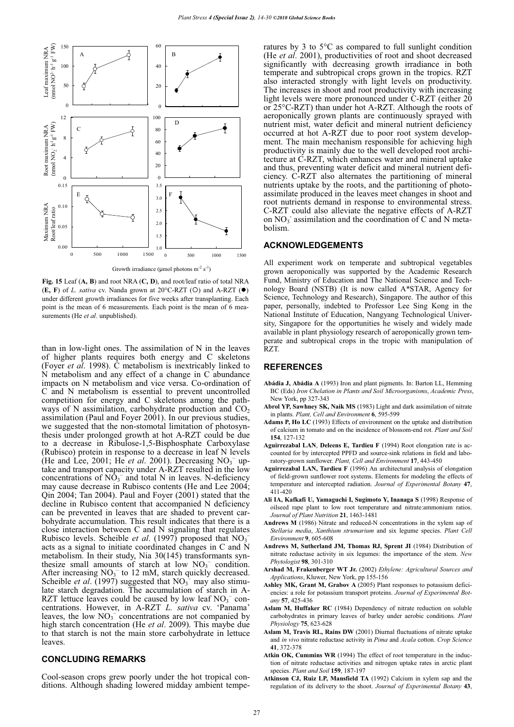

Growth irradiance ( $\mu$ mol photons m<sup>-2</sup> s<sup>-1</sup>)

**Fig. 15** Leaf (**A, B**) and root NRA (**C, D**), and root/leaf ratio of total NRA  $(E, F)$  of *L. sativa* cv. Nanda grown at 20°C-RZT (O) and A-RZT ( $\bullet$ ) under different growth irradiances for five weeks after transplanting. Each point is the mean of 6 measurements. Each point is the mean of 6 measurements (He *et al*. unpublished).

than in low-light ones. The assimilation of N in the leaves of higher plants requires both energy and C skeletons (Foyer *et al*. 1998). C metabolism is inextricably linked to N metabolism and any effect of a change in C abundance impacts on N metabolism and vice versa. Co-ordination of C and N metabolism is essential to prevent uncontrolled competition for energy and C skeletons among the pathways of N assimilation, carbohydrate production and  $CO<sub>2</sub>$ assimilation (Paul and Foyer 2001). In our previous studies, we suggested that the non-stomotal limitation of photosynthesis under prolonged growth at hot A-RZT could be due to a decrease in Ribulose-1,5-Bisphosphate Carboxylase (Rubisco) protein in response to a decrease in leaf N levels (He and Lee, 2001; He *et al.* 2001). Decreasing  $NO<sub>3</sub><sup>-</sup>$  uptake and transport capacity under A-RZT resulted in the low concentrations of  $N\overline{O}_3$ <sup>-</sup> and total N in leaves. N-deficiency may cause decrease in Rubisco contents (He and Lee 2004; Qin 2004; Tan 2004). Paul and Foyer (2001) stated that the decline in Rubisco content that accompanied N deficiency can be prevented in leaves that are shaded to prevent carbohydrate accumulation. This result indicates that there is a close interaction between C and N signaling that regulates<br>Pubisco lavels, Scheible et al. (1997) proposed that NO Rubisco levels. Scheible *et al*. (1997) proposed that NO3 acts as a signal to initiate coordinated changes in C and N metabolism. In their study, Nia 30(145) transformants synthesize small amounts of starch at low  $NO<sub>3</sub><sup>-</sup>$  condition. After increasing  $NO_3^-$  to 12 mM, starch quickly decreased. Scheible *et al.* (1997) suggested that  $NO<sub>3</sub><sup>-</sup>$  may also stimulate starch degradation. The accumulation of starch in A-RZT lettuce leaves could be caused by low leaf  $NO<sub>3</sub><sup>-</sup>$  concentrations. However, in A-RZT *L. sativa* cv. 'Panama' leaves, the low  $NO<sub>3</sub><sup>-</sup>$  concentrations are not companied by high starch concentration (He *et al*. 2009). This maybe due to that starch is not the main store carbohydrate in lettuce leaves.

#### **CONCLUDING REMARKS**

Cool-season crops grew poorly under the hot tropical conditions. Although shading lowered midday ambient temperatures by 3 to 5°C as compared to full sunlight condition (He *et al*. 2001), productivities of root and shoot decreased significantly with decreasing growth irradiance in both temperate and subtropical crops grown in the tropics. RZT also interacted strongly with light levels on productivity. The increases in shoot and root productivity with increasing light levels were more pronounced under  $\text{C-RZT}$  (either  $2\overline{0}$ or 25°C-RZT) than under hot A-RZT. Although the roots of aeroponically grown plants are continuously sprayed with nutrient mist, water deficit and mineral nutrient deficiency occurred at hot A-RZT due to poor root system development. The main mechanism responsible for achieving high productivity is mainly due to the well developed root architecture at C-RZT, which enhances water and mineral uptake and thus, preventing water deficit and mineral nutrient deficiency. C-RZT also alternates the partitioning of mineral nutrients uptake by the roots, and the partitioning of photoassimilate produced in the leaves meet changes in shoot and root nutrients demand in response to environmental stress. C-RZT could also alleviate the negative effects of A-RZT on  $NO<sub>3</sub>$  assimilation and the coordination of C and N metabolism.

#### **ACKNOWLEDGEMENTS**

All experiment work on temperate and subtropical vegetables grown aeroponically was supported by the Academic Research Fund, Ministry of Education and The National Science and Technology Board (NSTB) (It is now called A\*STAR, Agency for Science, Technology and Research), Singapore. The author of this paper, personally, indebted to Professor Lee Sing Kong in the National Institute of Education, Nangyang Technological University, Singapore for the opportunities he wisely and widely made available in plant physiology research of aeroponically grown temperate and subtropical crops in the tropic with manipulation of RZT.

#### **REFERENCES**

- **Abádia J, Abádia A** (1993) Iron and plant pigments. In: Barton LL, Hemming BC (Eds) *Iron Chelation in Plants and Soil Microorganisms*, *Academic Press*, New York, pp 327-343
- **Abrol YP, Sawhney SK, Naik MS** (1983) Light and dark assimilation of nitrate in plants. *Plant, Cell and Environment* **6**, 595-599
- **Adams P, Ho LC** (1993) Effects of environment on the uptake and distribution of calcium in tomato and on the incidence of blossom-end rot. *Plant and Soil* **154**, 127-132
- **Aguirrezabal LAN**, **Deleens E, Tardieu F** (1994) Root elongation rate is accounted for by intercepted PPFD and source-sink relations in field and laboratory-grown sunflower. *Plant, Cell and Environment* **17**, 443-450
- **Aguirrezabal LAN, Tardieu F** (1996) An architectural analysis of elongation of field-grown sunflower root systems. Elements for modeling the effects of temperature and intercepted radiation. *Journal of Experimental Botany* **47**, 411-420
- **Ali IA, Kafkafi U, Yamaguchi I, Sugimoto Y, Inanaga S** (1998) Response of oilseed rape plant to low root temperature and nitrate:ammonium ratios. *Journal of Plant Nutrition* **21**, 1463-1481
- **Andrews M** (1986) Nitrate and reduced-N concentrations in the xylem sap of *Stellaria media*, *Xanthium strumarium* and six legume species. *Plant Cell Environment* **9**, 605-608
- **Andrews M, Sutherland JM, Thomas RJ, Sprent JI** (1984) Distribution of nitrate reductase activity in six legumes: the importance of the stem. *New Phytologist* **98**, 301-310
- **Arshad M, Frakenberger WT Jr.** (2002) *Ethylene: Agricultural Sources and Applications*, Kluwer, New York, pp 155-156
- **Ashley MK, Grant M, Grabov A** (2005) Plant responses to potassium deficiencies: a role for potassium transport proteins. *Journal of Experimental Botany* **57**, 425-436
- **Aslam M, Huffaker RC** (1984) Dependency of nitrate reduction on soluble carbohydrates in primary leaves of barley under aerobic conditions. *Plant Physiology* **75**, 623-628
- **Aslam M, Travis RL, Rains DW** (2001) Diurnal fluctuations of nitrate uptake and *in vivo* nitrate reductase activity in *Pima* and *Acala* cotton. *Crop Science* **41**, 372-378
- **Atkin OK, Cummins WR** (1994) The effect of root temperature in the induction of nitrate reductase activities and nitrogen uptake rates in arctic plant species. *Plant and Soil* **159**, 187-197
- **Atkinson CJ, Ruiz LP, Mansfield TA** (1992) Calcium in xylem sap and the regulation of its delivery to the shoot. *Journal of Experimental Botany* **43**,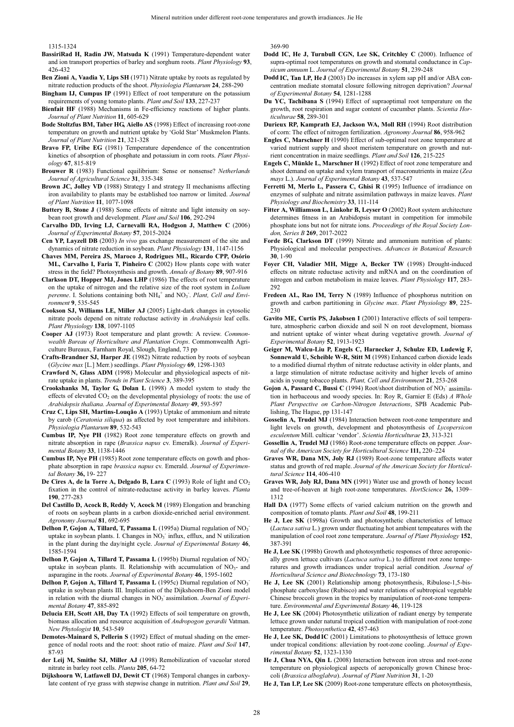1315-1324

- **BassiriRad H, Radin JW, Matsuda K** (1991) Temperature-dependent water and ion transport properties of barley and sorghum roots. *Plant Physiology* **93**, 426-432
- **Ben Zioni A, Vaadia Y, Lips SH** (1971) Nitrate uptake by roots as regulated by nitrate reduction products of the shoot. *Physiologia Plantarum* **24**, 288-290
- **Bingham IJ, Cumpus IP** (1991) Effect of root temperature on the potassium requirements of young tomato plants. *Plant and Soil* **133**, 227-237
- **Bienfait HF** (1988) Mechanisms in Fe-efficiency reactions of higher plants. *Journal of Plant Nutrition* **11**, 605-629
- **Bode Stoltzfus BM, Taber HG, Aiello AS** (1998) Effect of increasing root-zone temperature on growth and nutrient uptake by 'Gold Star' Muskmelon Plants. *Journal of Plant Nutrition* **21**, 321-328
- **Bravo FP, Uribe EG** (1981) Temperature dependence of the concentration kinetics of absorption of phosphate and potassium in corn roots. *Plant Physiology* **67**, 815-819
- **Brouwer R** (1983) Functional equilibrium: Sense or nonsense? *Netherlands Journal of Agricultural Science* **31**, 335-348
- **Brown JC, Jolley VD** (1988) Strategy I and strategy II mechanisms affecting iron availability to plants may be established too narrow or limited. *Journal of Plant Nutrition* **11**, 1077-1098
- **Buttery B, Stone J** (1988) Some effects of nitrate and light intensity on soybean root growth and development. *Plant and Soil* **106**, 292-294
- **Carvalho DD, Irving LJ, Carnevalli RA, Hodgson J, Matthew C** (2006) *Journal of Experimental Botany* **57**, 2015-2024
- **Cen YP, Layzell DB** (2003) *In vivo* gas exchange measurement of the site and dynamics of nitrate reduction in soybean. *Plant Physiology* **131**, 1147-1156
- **Chaves MM, Pereira JS, Maroco J, Rodrigues ML, Ricardo CPP, Osório ML, Carvalho I, Faria T, Pinheiro C** (2002) How plants cope with water stress in the field? Photosynthesis and growth. *Annals of Botany* **89**, 907-916
- **Clarkson DT, Hopper MJ, Jones LHP** (1986) The effects of root temperature on the uptake of nitrogen and the relative size of the root system in *Lolium*  perenne. I. Solutions containing both NH<sub>4</sub><sup>+</sup> and NO<sub>3</sub><sup>-</sup>. *Plant, Cell and Environment* **9**, 535-545
- **Cookson SJ, Williams LE, Miller AJ** (2005) Light-dark changes in cytosolic nitrate pools depend on nitrate reductase activity in *Arabidopsis* leaf cells. *Plant Physiology* **138**, 1097-1105
- **Cooper AJ** (1973) Root temperature and plant growth: A review. *Commonwealth Bureau of Horticulture and Plantation Crops*. Commonwealth Agriculture Bureaux, Farnham Royal, Slough, England, 73 pp
- **Crafts-Brandner SJ, Harper JE** (1982) Nitrate reduction by roots of soybean (*Glycine max* [L.] Merr.) seedlings. *Plant Physiology* **69**, 1298-1303
- **Crawford N, Glass ADM** (1998) Molecular and physiological aspects of nitrate uptake in plants. *Trends in Plant Science* **3**, 389-395
- **Crookshanks M, Taylor G, Dolan L** (1998) A model system to study the effects of elevated  $CO<sub>2</sub>$  on the developmental physiology of roots: the use of *Arabidopsis thaliana. Journal of Experimental Botany* **49**, 593-597
- **Cruz C, Lips SH, Martins-Louqão A** (1993) Uptake of ammonium and nitrate by carob (*Ceratonia siliqua*) as affected by root temperature and inhibitors. *Physiologia Plantarum* **89**, 532-543
- **Cumbus IP, Nye PH** (1982) Root zone temperature effects on growth and nitrate absorption in rape (*Brassica napus* cv. Emeralk). *Journal of Experimental Botany* **33**, 1138-1446
- **Cumbus IP, Nye PH** (1985) Root zone temperature effects on gowth and phosphate absorption in rape *brassica napus* cv. Emerald. *Journal of Experimental Botany* **36,** 19- 227
- **De Cires A, de la Torre A, Delgado B, Lara C (1993) Role of light and CO<sub>2</sub>** fixation in the control of nitrate-reductase activity in barley leaves. *Planta* **190**, 277-283
- **Del Castillo D, Acock B, Reddy V, Acock M** (1989) Elongation and branching of roots on soybean plants in a carbon dioxide-enriched aerial environment. *Agronomy Journal* **81**, 692-695
- Delhon P, Gojon A, Tillard, T, Passama L (1995a) Diurnal regulation of NO<sub>3</sub> uptake in soybean plants. I. Changes in NO<sub>3</sub> influx, efflux, and N utilization in the plant during the day/night cycle. *Journal of Experimental Botany* **46**, 1585-1594
- Delhon P, Gojon A, Tillard T, Passama L (1995b) Diurnal regulation of NO<sub>3</sub> uptake in soybean plants. II. Relationship with accumulation of NO3- and asparagine in the roots. *Journal of Experimental Botany* **46**, 1595-1602
- Delhon P, Gojon A, Tillard T, Passama L (1995c) Diurnal regulation of NO<sub>3</sub> uptake in soybean plants III. Implication of the Dijkshoorn-Ben Zioni model in relation with the diurnal changes in NO<sub>3</sub> assimilation. *Journal of Experimental Botany* **47**, 885-892
- **Delucia EH, Scott AH, Day TA** (1992) Effects of soil temperature on growth, biomass allocation and resource acquisition of *Andropogon gerardii* Vatman. *New Phytologist* **10**, 543-549
- **Demotes-Mainard S, Pellerin S** (1992) Effect of mutual shading on the emergence of nodal roots and the root: shoot ratio of maize. *Plant and Soil* **147**, 87-93
- **der Leij M, Smithe SJ, Miller AJ** (1998) Remobilization of vacuolar stored nitrate in barley root cells. *Planta* **205**, 64-72
- **Dijkshoorn W, Latfawell DJ, Dewit CT** (1968) Temporal changes in carboxylate content of rye grass with stepwise change in nutrition. *Plant and Soil* **29**,

369-90

- **Dodd IC, He J, Turnbull CGN, Lee SK, Critchley C** (2000). Influence of supra-optimal root temperatures on growth and stomatal conductance in *Capsicum annuum* L. *Journal of Experimental Botany* **51**, 239-248
- **Dodd IC, Tan LP, He J** (2003) Do increases in xylem sap pH and/or ABA concentration mediate stomatal closure following nitrogen deprivation? *Journal of Experimental Botany* **54**, 1281-1288
- **Du YC, Tachibana S** (1994) Effect of supraoptimal root temperature on the growth, root respiration and sugar content of cucumber plants. *Scientia Horticulturae* **58**, 289-301
- **Durieux RP, Kamprath EJ, Jackson WA, Moll RH** (1994) Root distribution of corn: The effect of nitrogen fertilization. *Agronomy Journal* **86**, 958-962
- **Engles C, Marschner H** (1990) Effect of sub-optimal root zone temperature at varied nutrient supply and shoot meristem temperature on growth and nutrient concentration in maize seedlings. *Plant and Soil* **126**, 215-225
- **Engels C, Münkle L, Marschner H** (1992) Effect of root zone temperature and shoot demand on uptake and xylem transport of macronutrients in maize (*Zea mays* L.). *Journal of Experimental Botany* **43**, 537-547
- **Ferretti M, Merlo L, Passera C, Ghisi R** (1995) Influence of irradiance on enzymes of sulphate and nitrate assimilation pathways in maize leaves. *Plant Physiology and Biochemistry* **33**, 111-114
- Fitter A, Williamson L, Linkohr B, Leyser O (2002) Root system architecture determines fitness in an Arabidopsis mutant in competition for immobile phosphate ions but not for nitrate ions. *Proceedings of the Royal Society London, Series B* **269**, 2017-2022
- **Forde BG, Clarkson DT** (1999) Nitrate and ammonium nutrition of plants: Physiological and molecular perspectives. *Advances in Botanical Research* **30**, 1-90
- **Foyer CH, Valadier MH, Migge A, Becker TW** (1998) Drought-induced effects on nitrate reductase activity and mRNA and on the coordination of nitrogen and carbon metabolism in maize leaves. *Plant Physiology* **117**, 283- 292
- **Fredeen AL, Rao IM, Terry N** (1989) Influence of phosphorus nutrition on growth and carbon partitioning in *Glycine max*. *Plant Physiology* **89**, 225- 230
- **Gavito ME, Curtis PS, Jakobsen I** (2001) Interactive effects of soil temperature, atmospheric carbon dioxide and soil N on root development, biomass and nutrient uptake of winter wheat during vegetative growth. *Journal of Experimental Botany* **52**, 1913-1923
- **Geiger M, Walcu-Liu P, Engels C, Harnecker J, Schulze ED, Ludewig F, Sonnewald U, Scheible W-R, Stitt M** (1998) Enhanced carbon dioxide leads to a modified diurnal rhythm of nitrate reductase activity in older plants, and a large stimulation of nitrate reductase acitivity and higher levels of amino acids in young tobacco plants. *Plant, Cell and Environment* **21**, 253-268
- Gojon A, Passard C, Bussi C (1994) Root/shoot distribution of NO<sub>3</sub> assimilation in herbaceous and woody species. In: Roy R, Garnier E (Eds) *A Whole Plant Perspective on Carbon-Nitrogen Interactions*, SPB Academic Publishing, The Hague, pp 131-147
- **Gosselin A, Trudel MJ** (1984) Interaction between root-zone temperature and light levels on growth, development and photosynthesis of *Lycopersicon esculentum* Mill. culticar 'vendor'. *Scientia Horticulturae* **23**, 313-321
- **Gossellin A, Trudel MJ** (1986) Root-zone temperature effects on pepper. *Journal of the American Society for Horticultural Science* **111,** 220–224
- **Graves WR, Dana MN, Joly RJ** (1989) Root-zone temperature affects water status and growth of red maple. *Journal of the American Society for Horticultural Science* **114**, 406-410
- **Graves WR, Joly RJ, Dana MN (**1991) Water use and growth of honey locust and tree-of-heaven at high root-zone temperatures. *HortScience* **26,** 1309– 1312
- **Hall DA** (1977) Some effects of varied calcium nutrition on the growth and composition of tomato plants. *Plant and Soil* **48**, 199-211
- **He J, Lee SK** (1998a) Growth and photosynthetic characteristics of lettuce (*Lactuca sativa* L.) grown under fluctuating hot ambient tempeatures with the manipulation of cool root zone temperature. *Journal of Plant Physiology* **152**, 387-391
- **He J, Lee SK** (1998b) Growth and photosynthetic responses of three aeroponically grown lettuce cultivars (*Lactuca sativa* L.) to different root zone temperatures and growth irradiances under tropical aerial condition*. Journal of Horticultural Science and Biotechnology* **73**, 173-180
- **He J, Lee SK** (2001) Relationship among photosynthesis, Ribulose-1,5-bisphosphate carboxylase (Rubisco) and water relations of subtropical vegetable Chinese broccoli grown in the tropics by manipulation of root-zone temperature. *Environmental and Experimental Botany* **46**, 119-128
- **He J, Lee SK** (2004) Photosynthetic utilization of radiant energy by temperate lettuce grown under natural tropical condition with manipulation of root-zone temperature. *Photosynthetica* **42**, 457-463
- **He J, Lee SK, Dodd IC** (2001) Limitations to photosynthesis of lettuce grown under tropical conditions: alleviation by root-zone cooling. *Journal of Experimental Botany* **52**, 1323-1330
- **He J, Chua NYA, Qin L** (2008) Interaction between iron stress and root-zone temperature on physiological aspects of aeroponically grown Chinese broccoli (*Brassica alboglabra*). *Journal of Plant Nutrition* **31**, 1-20
- **He J, Tan LP, Lee SK** (2009) Root-zone temperature effects on photosynthesis,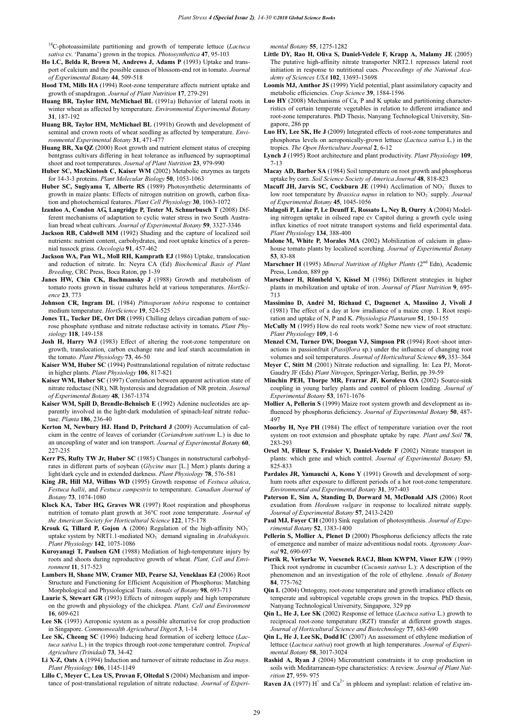14C-photoassimilate partitioning and growth of temperate lettuce (*Lactuca sativa* cv. 'Panama') grown in the tropics. *Photosynthetica* **47**, 95-103

- **Ho LC, Belda R, Brown M, Andrews J, Adams P** (1993) Uptake and transport of calcium and the possible causes of blossom-end rot in tomato. *Journal of Experimental Botany* **44**, 509-518
- **Hood TM, Mills HA** (1994) Root-zone temperature affects nutrient uptake and growth of snapdragon. *Journal of Plant Nutrition* **17**, 279-291
- **Huang BR, Taylor HM, McMichael BL** (1991a) Behavior of lateral roots in winter wheat as affected by temperature. *Environmental Experimental Botany* **31**, 187-192
- **Huang BR, Taylor HM, McMichael BL** (1991b) Growth and development of seminal and crown roots of wheat seedling as affected by temperature. *Environmental Experimental Botany* **31**, 471-477
- **Huang BR, Xu QZ** (2000) Root growth and nutrient element status of creeping bentgrass cultivars differing in heat tolerance as influenced by supraoptimal shoot and root temperatures. *Journal of Plant Nutrition* **23**, 979-990
- **Huber SC, MacKintosh C, Kaiser WM** (2002) Metabolic enzymes as targets for 14-3-3 proteins. *Plant Molecular Biology* **50**, 1053-1063
- **Huber SC, Sugiyama T, Alberte RS** (1989) Photosynthetic determinants of growth in maize plants: Effects of nitrogen nutrition on growth, carbon fixation and photochemical features. *Plant Cell Physiology* **30**, 1063-1072
- **Izanloo A, Condon AG, Langridge P, Tester M, Schnurbusch T** (2008) Different mechanisms of adaptation to cyclic water stress in two South Australian bread wheat cultivars. *Journal of Experimental Botany* **59**, 3327-3346
- **Jackson RB, Caldwell MM** (1992) Shading and the capture of localized soil nutrients: nutrient content, carbohydrates, and root uptake kinetics of a perennial tussock grass. *Oecologia* **91**, 457-462
- **Jackson WA, Pan WL, Moll RH, Kamprath EJ** (1986) Uptake, translocation and reduction of nitrate. In: Neyra CA (Ed) *Biochemical Basis of Plant Breeding*, CRC Press, Boca Raton, pp 1-39
- Janes HW, Chin CK, Bachmansky J (1988) Growth and metabolism of tomato roots grown in tissue cultures held at various temperatures. *HortScience* **23**, 773
- **Johnson CR, Ingram DL** (1984) *Pittosporum tobira* response to container medium temperature. *HortScience* **19**, 524-525
- Jones TL, Tucker DE, Ort DR (1998) Chilling delays circadian pattern of sucrose phosphate synthase and nitrate reductase activity in tomato**.** *Plant Physiology* **118**, 149-158
- **Josh H, Harry WJ** (1983) Effect of altering the root-zone temperature on growth, translocation, carbon exchange rate and leaf starch accumulation in the tomato. *Plant Physiology* **73**, 46-50
- **Kaiser WM, Huber SC** (1994) Posttranslational regulation of nitrate reductase in higher plants. *Plant Physiology* **106**, 817-821
- **Kaiser WM, Huber SC** (1997) Correlation between apparent activation state of nitrate reductase (NR), NR hysteresis and degradation of NR protein. *Journal of Experimental Botany* **48**, 1367-1374
- **Kaiser WM, Spill D, Brendle-Behnisch E** (1992) Adenine nucleotides are apparently involved in the light-dark modulation of spinach-leaf nitrate reductase. *Planta* **186**, 236-40
- **Kerton M, Newbury HJ. Hand D, Pritchard J** (2009) Accumulation of calcium in the centre of leaves of coriander (*Coriandrum sativum* L.) is due to an uncoupling of water and ion transport. *Journal of Experimental Botany* **60**, 227-235
- **Kerr PS, Rufty TW Jr, Huber SC** (1985) Changes in nonstructural carbohydrates in different parts of soybean (*Glycine max* [L.] Merr.) plants during a light/dark cycle and in extended darkness. *Plant Physiology* **78**, 576-581
- **King JR, Hill MJ, Willms WD** (1995) Growth response of *Festuca altaica*, *Festuca hallii*, and *Festuca campestris* to temperature. *Canadian Journal of Botany* **73**, 1074-1080
- **Klock KA, Taber HG, Graves WR** (1997) Root respiration and phosphorus nutrition of tomato plant growth at 36°C root zone temperature. *Journal of the American Society for Horticultural Science* **122**, 175-178
- **Krouk G, Tillard P, Gojon A** (2006) Regulation of the high-affinity NO3 uptake system by NRT1.1-mediated NO<sub>3</sub><sup>-</sup> demand signaling in *Arabidopsis*. *Plant Physiology* **142**, 1075-1086
- **Kuroyanagi T, Paulsen GM** (1988) Mediation of high-temperature injury by roots and shoots during reproductive growth of wheat. *Plant, Cell and Environment* **11**, 517-523
- **Lambers H, Shane MW, Cramer MD, Pearse SJ, Veneklaas EJ** (2006) Root Structure and Functioning for Efficient Acquisition of Phosphorus: Matching Morphological and Physiological Traits. *Annals of Botany* **98**, 693-713
- **Laurie S, Stewart GR** (1993) Effects of nitrogen supply and high temperature on the growth and physiology of the chickpea. *Plant, Cell and Environment* **16**, 609-621
- **Lee SK** (1993) Aeroponic system as a possible alternative for crop production in Singapore. *Commonwealth Agricultural Diges*t **3**, 1-14
- **Lee SK, Cheong SC** (1996) Inducing head formation of iceberg lettuce (*Lactuca sativa* L.) in the tropics through root-zone temperature control. *Tropical Agriculture (Trinidad)* **73**, 34-42
- **Li X-Z, Oats A** (1994) Induction and turnover of nitrate reductase in *Zea mays*. *Plant Physiology* **106**, 1145-1149
- **Lillo C, Meyer C, Lea US, Provan F, Oltedal S** (2004) Mechanism and importance of post-translational regulation of nitrate reductase. *Journal of Experi-*

*mental Botany* **55**, 1275-1282

- **Little DY, Rao H, Oliva S, Daniel-Vedele F, Krapp A, Malamy JE** (2005) The putative high-affinity nitrate transporter NRT2.1 represses lateral root initiation in response to nutritional cues. *Proceedings of the National Academy of Sciences USA* **102**, 13693-13698
- **Loomis MJ, Amthor JS** (1999) Yield potential, plant assimilatory capacity and metabolic efficiencies. *Crop Science* **39**, 1584-1596
- **Luo HY** (2008) Mechanisms of Ca, P and K uptake and partitioning characterristics of certain temperate vegetables in relation to different irradiance and root-zone temperatures. PhD Thesis, Nanyang Technological University, Singapore, 286 pp
- **Luo HY, Lee SK, He J** (2009) Integrated effects of root-zone temperatures and phosphorus levels on aeroponically-grown lettuce (*Lactuca sativa* L.) in the tropics. *The Open Horticulture Journal* **2**, 6-12
- **Lynch J** (1995) Root architecture and plant productivity. *Plant Physiology* **109**, 7-13
- **Macay AD, Barber SA** (1984) Soil temperature on root growth and phosphorus uptake by corn. *Soil Science Society of America Journal* **48**, 818-823
- Macuff JH, Jarvis SC, Cockburn JE (1994) Acclimation of NO<sub>3</sub><sup>-</sup> fluxes to low root temperature by *Brassica napus* in relation to NO<sub>3</sub><sup>-</sup>supply. *Journal of Experimental Botany* **45**, 1045-1056
- **Malagoli P, Laine P, Le Deunff E, Rossato L, Ney B, Ourry A** (2004) Modeling nitrogen uptake in oilseed rape cv Capitol during a growth cycle using influx kinetics of root nitrate transport systems and field experimental data. *Plant Physiology* **134**, 388-400
- **Malone M, White P, Morales MA** (2002) Mobilization of calcium in glasshouse tomato plants by localized scorching. *Journal of Experimental Botany* **53**, 83-88
- **Marschner H** (1995) Mineral Nutrition of Higher Plants (2<sup>nd</sup> Edn), Academic Press, London, 889 pp.
- **Marschner H, Römheld V, Kissel M** (1986) Different strategies in higher plants in mobilization and uptake of iron. *Journal of Plant Nutrition* **9**, 695-  $713$
- **Massimino D, André M, Richaud C, Daguenet A, Massiino J, Vivoli J**  (1981) The effect of a day at low irradiance of a maize crop. I. Root respiration and uptake of N, P and K. *Physiologia Plantarum* **51**, 150-155
- **McCully M** (1995) How do real roots work? Some new view of root structure. *Plant Physiology* **109**, 1-6
- **Menzel CM, Turner DW, Doogan VJ, Simpson PR** (1994) Root–shoot interactions in passionfruit (*Passiflora* sp.) under the influence of changing root volumes and soil temperatures. *Journal of Horticultural Science* **69,** 353–364
- **Meyer C, Stitt M** (2001) Nitrate reduction and signalling. In: Lea PJ, Morot-Gaudry JF (Eds) *Plant Nitrogen*, Springer-Verlag, Berlin, pp 39-59
- **Minchin PEH, Thorpe MR, Frarrar JF, Koroleva OA** (2002) Source-sink coupling in young barley plants and control of phloem loading. *Journal of Experimental Botany* **53**, 1671-1676
- **Mollier A, Pellerin S** (1999) Maize root system growth and development as in fluenced by phosphorus deficiency. Journal of Experimental Botany 50, 487-497
- **Moorby H, Nye PH** (1984) The effect of temperature variation over the root system on root extension and phosphate uptake by rape. *Plant and Soil* **78**, 283-293
- **Orsel M, Filleur S, Fraisier V, Daniel-Vedele F** (2002) Nitrate transport in plants: which gene and which control. *Journal of Experimental Botany* **53**, 825-833
- **Pardales JR, Yamauchi A, Kono Y** (1991) Growth and development of sorghum roots after exposure to different periods of a hot root-zone temperature. *Environmental and Experimental Botany* **31**, 397-403
- **Paterson E, Sim A, Standing D, Dorward M, McDonald AJS** (2006) Root exudation from *Hordeum vulgare* in response to localized nitrate supply. *Journal of Experimental Botany* **57**, 2413-2420
- **Paul MJ, Foyer CH** (2001) Sink regulation of photosynthesis. *Journal of Experimental Botany* **52**, 1383-1400
- **Pellerin S, Mollier A, Plenet D** (2000) Phosphorus deficiency affects the rate of emergence and number of maize adventitious nodal roots. *Agronomy Journal* **92**, 690-697
- **Pierik R, Verkerke W, Voesenek RACJ, Blom KWPM, Visser EJW** (1999) Thick root syndrome in cucumber (*Cucumis sativus* L.): A description of the phenomenon and an investigation of the role of ethylene. *Annals of Botany* **84**, 775-762
- **Qin L** (2004) Ontogeny, root-zone temperature and growth irradiance effects on temperate and subtropical vegetable crops grown in the tropics. PhD thesis, Nanyang Technological University, Singapore, 329 pp
- **Qin L, He J, Lee SK** (2002) Response of lettuce (*Lactuca sativa* L.) growth to reciprocal root-zone temperature (RZT) transfer at different growth stages. *Journal of Horticultural Science and Biotechnology* **77**, 683-690
- **Qin L, He J, Lee SK, Dodd IC** (2007) An assessment of ethylene mediation of lettuce (*Lactuca sativa*) root growth at high temperatures. *Journal of Experimental Botany* **58**, 3017-3024
- **Rashid A, Ryan J** (2004) Micronutrient constraints it to crop production in soils with Meditarranean-type characteristics: A review. *Journal of Plant Nutrition* **27**, 959- 975

**Raven JA** (1977)  $H^+$  and  $Ca^{2+}$  in phloem and symplast: relation of relative im-